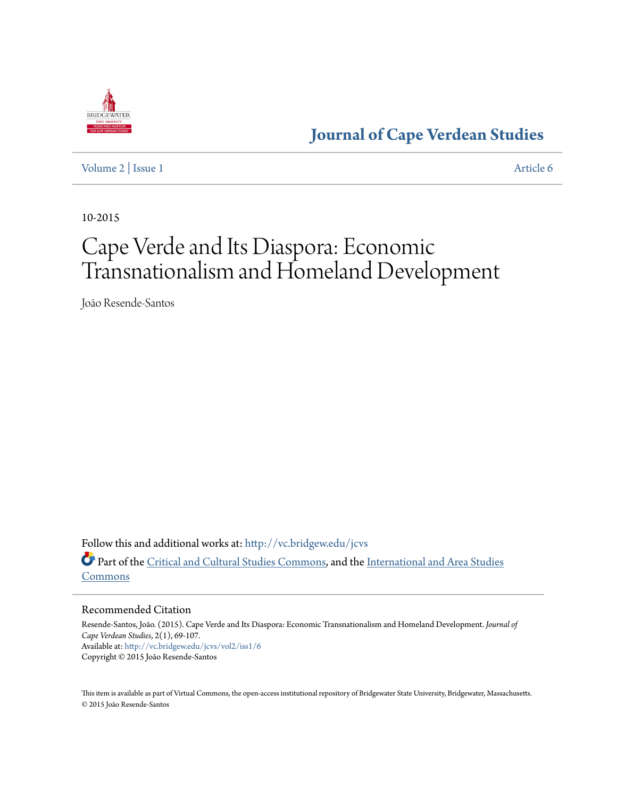

**[Journal of Cape Verdean Studies](http://vc.bridgew.edu/jcvs?utm_source=vc.bridgew.edu%2Fjcvs%2Fvol2%2Fiss1%2F6&utm_medium=PDF&utm_campaign=PDFCoverPages)**

[Volume 2](http://vc.bridgew.edu/jcvs/vol2?utm_source=vc.bridgew.edu%2Fjcvs%2Fvol2%2Fiss1%2F6&utm_medium=PDF&utm_campaign=PDFCoverPages) | [Issue 1](http://vc.bridgew.edu/jcvs/vol2/iss1?utm_source=vc.bridgew.edu%2Fjcvs%2Fvol2%2Fiss1%2F6&utm_medium=PDF&utm_campaign=PDFCoverPages) [Article 6](http://vc.bridgew.edu/jcvs/vol2/iss1/6?utm_source=vc.bridgew.edu%2Fjcvs%2Fvol2%2Fiss1%2F6&utm_medium=PDF&utm_campaign=PDFCoverPages)

10-2015

# Cape Verde and Its Diaspora: Economic Transnationalism and Homeland Development

João Resende-Santos

Follow this and additional works at: [http://vc.bridgew.edu/jcvs](http://vc.bridgew.edu/jcvs?utm_source=vc.bridgew.edu%2Fjcvs%2Fvol2%2Fiss1%2F6&utm_medium=PDF&utm_campaign=PDFCoverPages) Part of the [Critical and Cultural Studies Commons](http://network.bepress.com/hgg/discipline/328?utm_source=vc.bridgew.edu%2Fjcvs%2Fvol2%2Fiss1%2F6&utm_medium=PDF&utm_campaign=PDFCoverPages), and the [International and Area Studies](http://network.bepress.com/hgg/discipline/360?utm_source=vc.bridgew.edu%2Fjcvs%2Fvol2%2Fiss1%2F6&utm_medium=PDF&utm_campaign=PDFCoverPages) [Commons](http://network.bepress.com/hgg/discipline/360?utm_source=vc.bridgew.edu%2Fjcvs%2Fvol2%2Fiss1%2F6&utm_medium=PDF&utm_campaign=PDFCoverPages)

#### Recommended Citation

Resende-Santos, João. (2015). Cape Verde and Its Diaspora: Economic Transnationalism and Homeland Development. *Journal of Cape Verdean Studies*, 2(1), 69-107. Available at: [http://vc.bridgew.edu/jcvs/vol2/iss1/6](http://vc.bridgew.edu/jcvs/vol2/iss1/6?utm_source=vc.bridgew.edu%2Fjcvs%2Fvol2%2Fiss1%2F6&utm_medium=PDF&utm_campaign=PDFCoverPages) Copyright © 2015 João Resende-Santos

This item is available as part of Virtual Commons, the open-access institutional repository of Bridgewater State University, Bridgewater, Massachusetts. © 2015 João Resende-Santos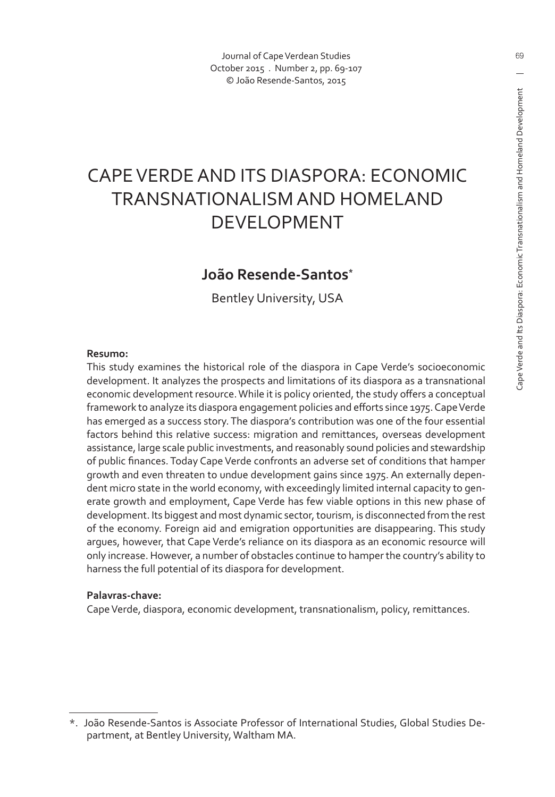Journal of Cape Verdean Studies October 2015 . Number 2, pp. 69-107 © João Resende-Santos, 2015

## CAPE VERDE AND ITS DIASPORA: ECONOMIC TRANSNATIONALISM AND HOMELAND DEVELOPMENT

#### **João Resende-Santos\***

Bentley University, USA

#### **Resumo:**

This study examines the historical role of the diaspora in Cape Verde's socioeconomic development. It analyzes the prospects and limitations of its diaspora as a transnational economic development resource. While it is policy oriented, the study offers a conceptual framework to analyze its diaspora engagement policies and efforts since 1975. Cape Verde has emerged as a success story. The diaspora's contribution was one of the four essential factors behind this relative success: migration and remittances, overseas development assistance, large scale public investments, and reasonably sound policies and stewardship of public finances. Today Cape Verde confronts an adverse set of conditions that hamper growth and even threaten to undue development gains since 1975. An externally dependent micro state in the world economy, with exceedingly limited internal capacity to generate growth and employment, Cape Verde has few viable options in this new phase of development. Its biggest and most dynamic sector, tourism, is disconnected from the rest of the economy. Foreign aid and emigration opportunities are disappearing. This study argues, however, that Cape Verde's reliance on its diaspora as an economic resource will only increase. However, a number of obstacles continue to hamper the country's ability to harness the full potential of its diaspora for development.

#### **Palavras-chave:**

Cape Verde, diaspora, economic development, transnationalism, policy, remittances.

<sup>\*.</sup> João Resende-Santos is Associate Professor of International Studies, Global Studies Department, at Bentley University, Waltham MA.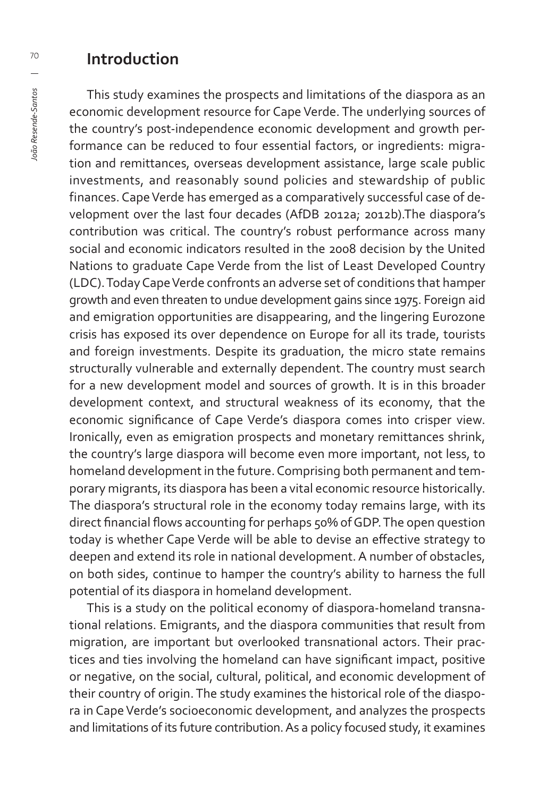#### **Introduction**

This study examines the prospects and limitations of the diaspora as an economic development resource for Cape Verde. The underlying sources of the country's post-independence economic development and growth performance can be reduced to four essential factors, or ingredients: migration and remittances, overseas development assistance, large scale public investments, and reasonably sound policies and stewardship of public finances. Cape Verde has emerged as a comparatively successful case of development over the last four decades (AfDB 2012a; 2012b).The diaspora's contribution was critical. The country's robust performance across many social and economic indicators resulted in the 2008 decision by the United Nations to graduate Cape Verde from the list of Least Developed Country (LDC). Today Cape Verde confronts an adverse set of conditions that hamper growth and even threaten to undue development gains since 1975. Foreign aid and emigration opportunities are disappearing, and the lingering Eurozone crisis has exposed its over dependence on Europe for all its trade, tourists and foreign investments. Despite its graduation, the micro state remains structurally vulnerable and externally dependent. The country must search for a new development model and sources of growth. It is in this broader development context, and structural weakness of its economy, that the economic significance of Cape Verde's diaspora comes into crisper view. Ironically, even as emigration prospects and monetary remittances shrink, the country's large diaspora will become even more important, not less, to homeland development in the future. Comprising both permanent and temporary migrants, its diaspora has been a vital economic resource historically. The diaspora's structural role in the economy today remains large, with its direct financial flows accounting for perhaps 50% of GDP. The open question today is whether Cape Verde will be able to devise an effective strategy to deepen and extend its role in national development. A number of obstacles, on both sides, continue to hamper the country's ability to harness the full potential of its diaspora in homeland development.

This is a study on the political economy of diaspora-homeland transnational relations. Emigrants, and the diaspora communities that result from migration, are important but overlooked transnational actors. Their practices and ties involving the homeland can have significant impact, positive or negative, on the social, cultural, political, and economic development of their country of origin. The study examines the historical role of the diaspora in Cape Verde's socioeconomic development, and analyzes the prospects and limitations of its future contribution. As a policy focused study, it examines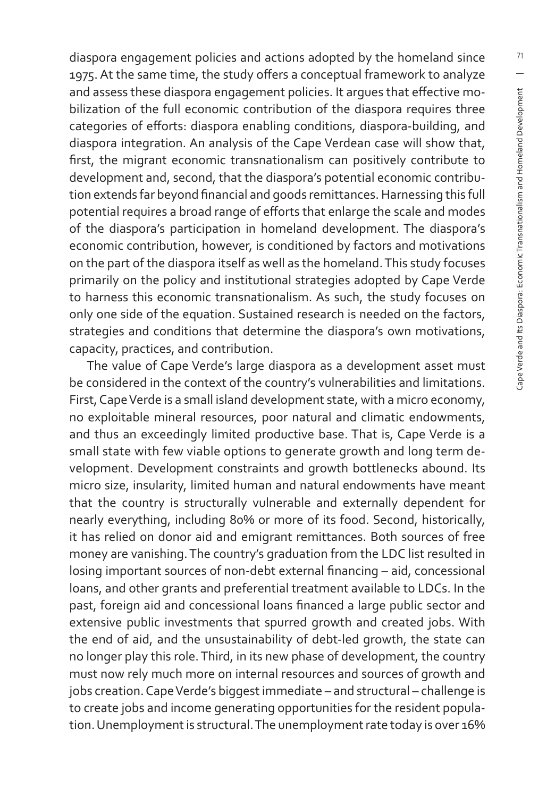diaspora engagement policies and actions adopted by the homeland since 1975. At the same time, the study offers a conceptual framework to analyze and assess these diaspora engagement policies. It argues that effective mobilization of the full economic contribution of the diaspora requires three categories of efforts: diaspora enabling conditions, diaspora-building, and diaspora integration. An analysis of the Cape Verdean case will show that, first, the migrant economic transnationalism can positively contribute to development and, second, that the diaspora's potential economic contribution extends far beyond financial and goods remittances. Harnessing this full potential requires a broad range of efforts that enlarge the scale and modes of the diaspora's participation in homeland development. The diaspora's economic contribution, however, is conditioned by factors and motivations on the part of the diaspora itself as well as the homeland. This study focuses primarily on the policy and institutional strategies adopted by Cape Verde to harness this economic transnationalism. As such, the study focuses on only one side of the equation. Sustained research is needed on the factors, strategies and conditions that determine the diaspora's own motivations, capacity, practices, and contribution.

The value of Cape Verde's large diaspora as a development asset must be considered in the context of the country's vulnerabilities and limitations. First, Cape Verde is a small island development state, with a micro economy, no exploitable mineral resources, poor natural and climatic endowments, and thus an exceedingly limited productive base. That is, Cape Verde is a small state with few viable options to generate growth and long term development. Development constraints and growth bottlenecks abound. Its micro size, insularity, limited human and natural endowments have meant that the country is structurally vulnerable and externally dependent for nearly everything, including 80% or more of its food. Second, historically, it has relied on donor aid and emigrant remittances. Both sources of free money are vanishing. The country's graduation from the LDC list resulted in losing important sources of non-debt external financing - aid, concessional loans, and other grants and preferential treatment available to LDCs. In the past, foreign aid and concessional loans financed a large public sector and extensive public investments that spurred growth and created jobs. With the end of aid, and the unsustainability of debt-led growth, the state can no longer play this role. Third, in its new phase of development, the country must now rely much more on internal resources and sources of growth and jobs creation. Cape Verde's biggest immediate – and structural – challenge is to create jobs and income generating opportunities for the resident population. Unemployment is structural. The unemployment rate today is over 16%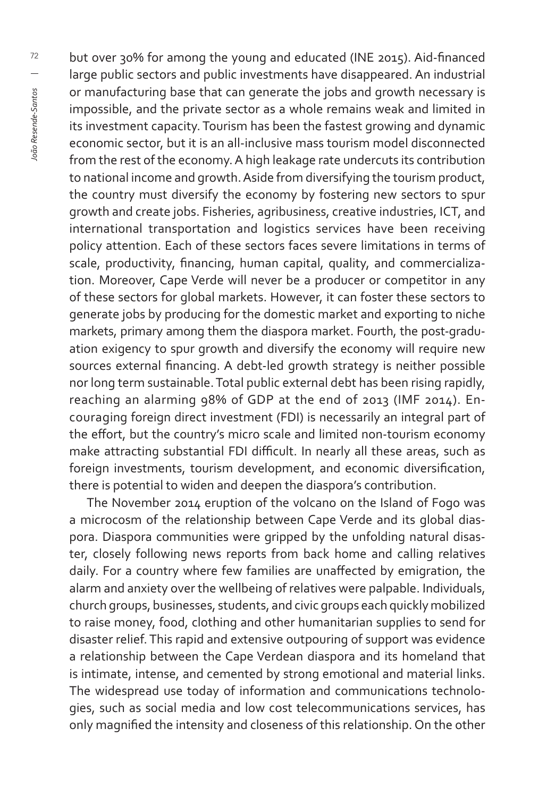but over 30% for among the young and educated (INE 2015). Aid-financed large public sectors and public investments have disappeared. An industrial or manufacturing base that can generate the jobs and growth necessary is impossible, and the private sector as a whole remains weak and limited in its investment capacity. Tourism has been the fastest growing and dynamic economic sector, but it is an all-inclusive mass tourism model disconnected from the rest of the economy. A high leakage rate undercuts its contribution to national income and growth. Aside from diversifying the tourism product, the country must diversify the economy by fostering new sectors to spur growth and create jobs. Fisheries, agribusiness, creative industries, ICT, and international transportation and logistics services have been receiving policy attention. Each of these sectors faces severe limitations in terms of scale, productivity, financing, human capital, quality, and commercialization. Moreover, Cape Verde will never be a producer or competitor in any of these sectors for global markets. However, it can foster these sectors to generate jobs by producing for the domestic market and exporting to niche markets, primary among them the diaspora market. Fourth, the post-graduation exigency to spur growth and diversify the economy will require new sources external financing. A debt-led growth strategy is neither possible nor long term sustainable. Total public external debt has been rising rapidly, reaching an alarming 98% of GDP at the end of 2013 (IMF 2014). Encouraging foreign direct investment (FDI) is necessarily an integral part of the effort, but the country's micro scale and limited non-tourism economy make attracting substantial FDI difficult. In nearly all these areas, such as foreign investments, tourism development, and economic diversification, there is potential to widen and deepen the diaspora's contribution.

The November 2014 eruption of the volcano on the Island of Fogo was a microcosm of the relationship between Cape Verde and its global diaspora. Diaspora communities were gripped by the unfolding natural disaster, closely following news reports from back home and calling relatives daily. For a country where few families are unaffected by emigration, the alarm and anxiety over the wellbeing of relatives were palpable. Individuals, church groups, businesses, students, and civic groups each quickly mobilized to raise money, food, clothing and other humanitarian supplies to send for disaster relief. This rapid and extensive outpouring of support was evidence a relationship between the Cape Verdean diaspora and its homeland that is intimate, intense, and cemented by strong emotional and material links. The widespread use today of information and communications technologies, such as social media and low cost telecommunications services, has only magnified the intensity and closeness of this relationship. On the other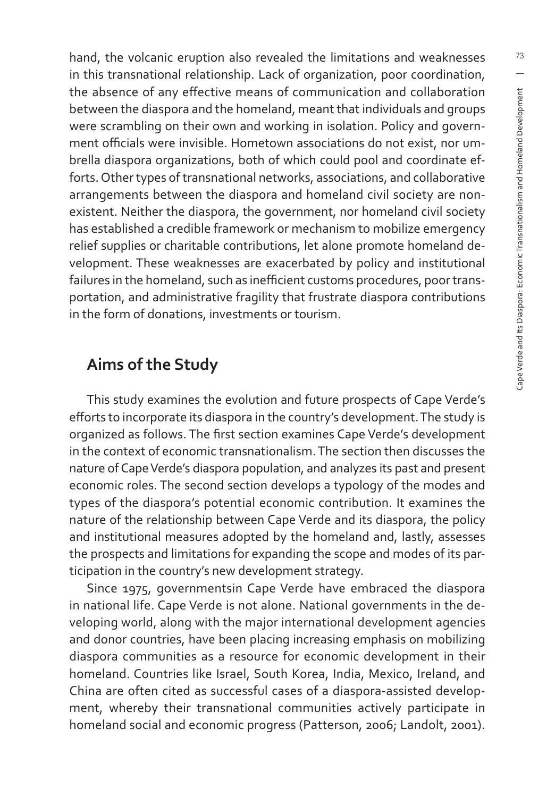hand, the volcanic eruption also revealed the limitations and weaknesses in this transnational relationship. Lack of organization, poor coordination, the absence of any effective means of communication and collaboration between the diaspora and the homeland, meant that individuals and groups were scrambling on their own and working in isolation. Policy and government officials were invisible. Hometown associations do not exist, nor umbrella diaspora organizations, both of which could pool and coordinate efforts. Other types of transnational networks, associations, and collaborative arrangements between the diaspora and homeland civil society are nonexistent. Neither the diaspora, the government, nor homeland civil society has established a credible framework or mechanism to mobilize emergency relief supplies or charitable contributions, let alone promote homeland development. These weaknesses are exacerbated by policy and institutional failures in the homeland, such as inefficient customs procedures, poor transportation, and administrative fragility that frustrate diaspora contributions in the form of donations, investments or tourism.

#### **Aims of the Study**

This study examines the evolution and future prospects of Cape Verde's efforts to incorporate its diaspora in the country's development. The study is organized as follows. The first section examines Cape Verde's development in the context of economic transnationalism. The section then discusses the nature of Cape Verde's diaspora population, and analyzes its past and present economic roles. The second section develops a typology of the modes and types of the diaspora's potential economic contribution. It examines the nature of the relationship between Cape Verde and its diaspora, the policy and institutional measures adopted by the homeland and, lastly, assesses the prospects and limitations for expanding the scope and modes of its participation in the country's new development strategy.

Since 1975, governmentsin Cape Verde have embraced the diaspora in national life. Cape Verde is not alone. National governments in the developing world, along with the major international development agencies and donor countries, have been placing increasing emphasis on mobilizing diaspora communities as a resource for economic development in their homeland. Countries like Israel, South Korea, India, Mexico, Ireland, and China are often cited as successful cases of a diaspora-assisted development, whereby their transnational communities actively participate in homeland social and economic progress (Patterson, 2006; Landolt, 2001).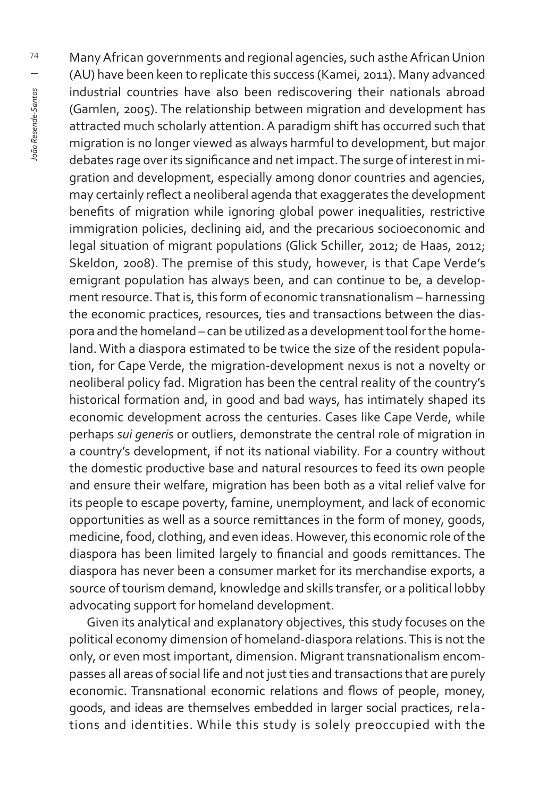Many African governments and regional agencies, such asthe African Union (AU) have been keen to replicate this success (Kamei, 2011). Many advanced industrial countries have also been rediscovering their nationals abroad (Gamlen, 2005). The relationship between migration and development has attracted much scholarly attention. A paradigm shift has occurred such that migration is no longer viewed as always harmful to development, but major debates rage over its significance and net impact. The surge of interest in migration and development, especially among donor countries and agencies, may certainly reflect a neoliberal agenda that exaggerates the development benefits of migration while ignoring global power inequalities, restrictive immigration policies, declining aid, and the precarious socioeconomic and legal situation of migrant populations (Glick Schiller, 2012; de Haas, 2012; Skeldon, 2008). The premise of this study, however, is that Cape Verde's emigrant population has always been, and can continue to be, a development resource. That is, this form of economic transnationalism – harnessing the economic practices, resources, ties and transactions between the diaspora and the homeland – can be utilized as a development tool for the homeland. With a diaspora estimated to be twice the size of the resident population, for Cape Verde, the migration-development nexus is not a novelty or neoliberal policy fad. Migration has been the central reality of the country's historical formation and, in good and bad ways, has intimately shaped its economic development across the centuries. Cases like Cape Verde, while perhaps *sui generis* or outliers, demonstrate the central role of migration in a country's development, if not its national viability. For a country without the domestic productive base and natural resources to feed its own people and ensure their welfare, migration has been both as a vital relief valve for its people to escape poverty, famine, unemployment, and lack of economic opportunities as well as a source remittances in the form of money, goods, medicine, food, clothing, and even ideas. However, this economic role of the diaspora has been limited largely to financial and goods remittances. The diaspora has never been a consumer market for its merchandise exports, a source of tourism demand, knowledge and skills transfer, or a political lobby advocating support for homeland development.

Given its analytical and explanatory objectives, this study focuses on the political economy dimension of homeland-diaspora relations. This is not the only, or even most important, dimension. Migrant transnationalism encompasses all areas of social life and not just ties and transactions that are purely economic. Transnational economic relations and flows of people, money, goods, and ideas are themselves embedded in larger social practices, relations and identities. While this study is solely preoccupied with the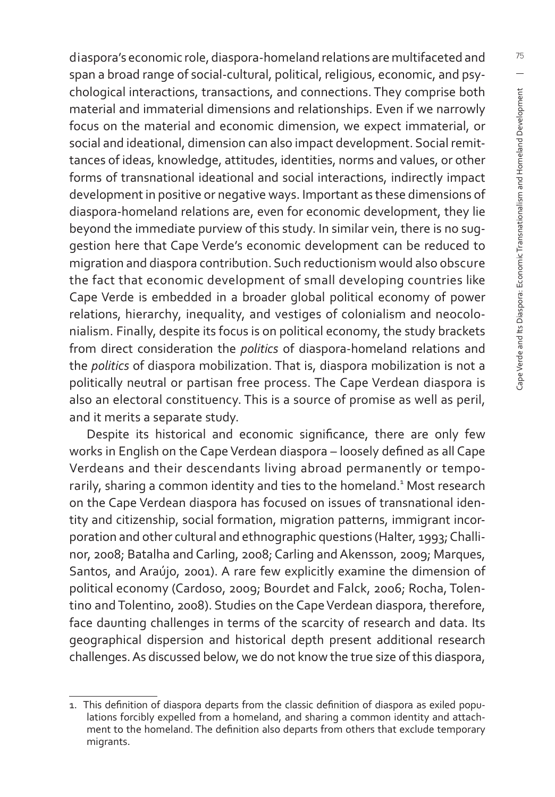diaspora's economic role, diaspora-homeland relations are multifaceted and span a broad range of social-cultural, political, religious, economic, and psychological interactions, transactions, and connections. They comprise both material and immaterial dimensions and relationships. Even if we narrowly focus on the material and economic dimension, we expect immaterial, or social and ideational, dimension can also impact development. Social remittances of ideas, knowledge, attitudes, identities, norms and values, or other forms of transnational ideational and social interactions, indirectly impact development in positive or negative ways. Important as these dimensions of diaspora-homeland relations are, even for economic development, they lie beyond the immediate purview of this study. In similar vein, there is no suggestion here that Cape Verde's economic development can be reduced to migration and diaspora contribution. Such reductionism would also obscure the fact that economic development of small developing countries like Cape Verde is embedded in a broader global political economy of power relations, hierarchy, inequality, and vestiges of colonialism and neocolonialism. Finally, despite its focus is on political economy, the study brackets from direct consideration the *politics* of diaspora-homeland relations and the *politics* of diaspora mobilization. That is, diaspora mobilization is not a politically neutral or partisan free process. The Cape Verdean diaspora is also an electoral constituency. This is a source of promise as well as peril, and it merits a separate study.

Despite its historical and economic significance, there are only few works in English on the Cape Verdean diaspora - loosely defined as all Cape Verdeans and their descendants living abroad permanently or temporarily, sharing a common identity and ties to the homeland.<sup>1</sup> Most research on the Cape Verdean diaspora has focused on issues of transnational identity and citizenship, social formation, migration patterns, immigrant incorporation and other cultural and ethnographic questions (Halter, 1993; Challinor, 2008; Batalha and Carling, 2008; Carling and Akensson, 2009; Marques, Santos, and Araújo, 2001). A rare few explicitly examine the dimension of political economy (Cardoso, 2009; Bourdet and Falck, 2006; Rocha, Tolentino and Tolentino, 2008). Studies on the Cape Verdean diaspora, therefore, face daunting challenges in terms of the scarcity of research and data. Its geographical dispersion and historical depth present additional research challenges. As discussed below, we do not know the true size of this diaspora,

<sup>1.</sup> This definition of diaspora departs from the classic definition of diaspora as exiled populations forcibly expelled from a homeland, and sharing a common identity and attachment to the homeland. The definition also departs from others that exclude temporary migrants.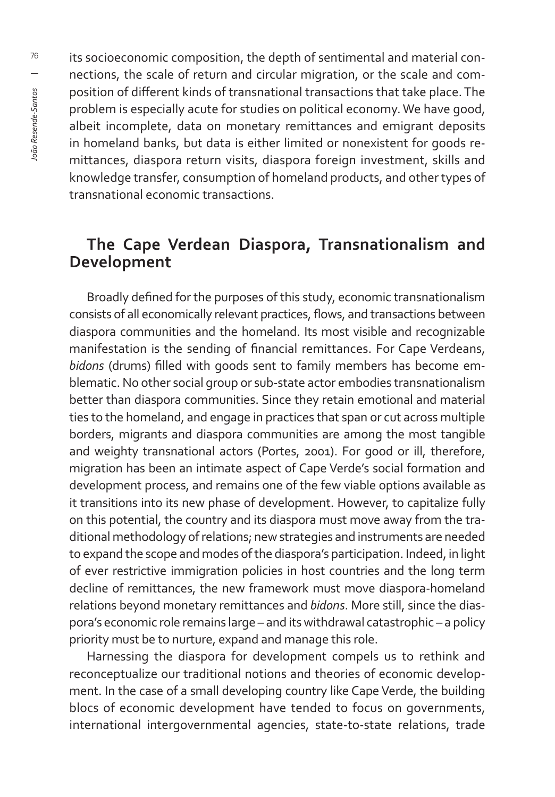its socioeconomic composition, the depth of sentimental and material connections, the scale of return and circular migration, or the scale and composition of different kinds of transnational transactions that take place. The problem is especially acute for studies on political economy. We have good, albeit incomplete, data on monetary remittances and emigrant deposits in homeland banks, but data is either limited or nonexistent for goods remittances, diaspora return visits, diaspora foreign investment, skills and knowledge transfer, consumption of homeland products, and other types of transnational economic transactions.

#### **The Cape Verdean Diaspora, Transnationalism and Development**

Broadly defined for the purposes of this study, economic transnationalism consists of all economically relevant practices, flows, and transactions between diaspora communities and the homeland. Its most visible and recognizable manifestation is the sending of financial remittances. For Cape Verdeans, *bidons* (drums) filled with goods sent to family members has become emblematic. No other social group or sub-state actor embodies transnationalism better than diaspora communities. Since they retain emotional and material ties to the homeland, and engage in practices that span or cut across multiple borders, migrants and diaspora communities are among the most tangible and weighty transnational actors (Portes, 2001). For good or ill, therefore, migration has been an intimate aspect of Cape Verde's social formation and development process, and remains one of the few viable options available as it transitions into its new phase of development. However, to capitalize fully on this potential, the country and its diaspora must move away from the traditional methodology of relations; new strategies and instruments are needed to expand the scope and modes of the diaspora's participation. Indeed, in light of ever restrictive immigration policies in host countries and the long term decline of remittances, the new framework must move diaspora-homeland relations beyond monetary remittances and *bidons*. More still, since the diaspora's economic role remains large – and its withdrawal catastrophic – a policy priority must be to nurture, expand and manage this role.

Harnessing the diaspora for development compels us to rethink and reconceptualize our traditional notions and theories of economic development. In the case of a small developing country like Cape Verde, the building blocs of economic development have tended to focus on governments, international intergovernmental agencies, state-to-state relations, trade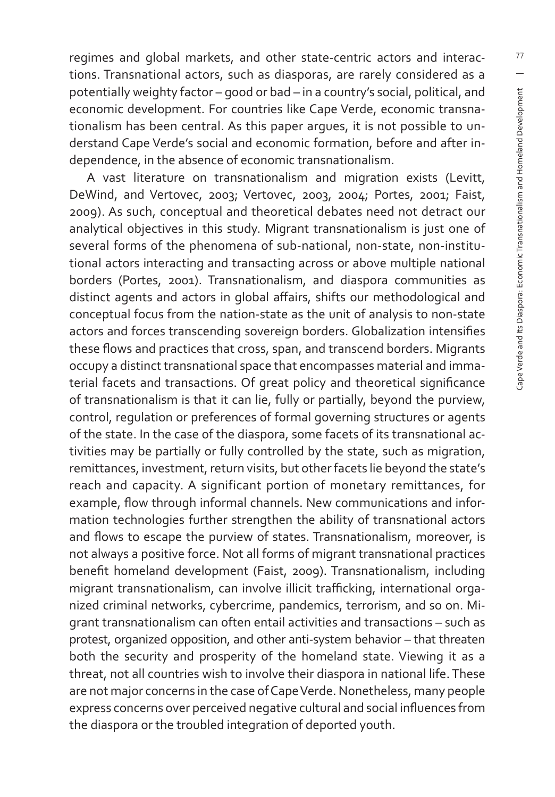regimes and global markets, and other state-centric actors and interactions. Transnational actors, such as diasporas, are rarely considered as a potentially weighty factor – good or bad – in a country's social, political, and economic development. For countries like Cape Verde, economic transnationalism has been central. As this paper argues, it is not possible to understand Cape Verde's social and economic formation, before and after independence, in the absence of economic transnationalism.

A vast literature on transnationalism and migration exists (Levitt, DeWind, and Vertovec, 2003; Vertovec, 2003, 2004; Portes, 2001; Faist, 2009). As such, conceptual and theoretical debates need not detract our analytical objectives in this study. Migrant transnationalism is just one of several forms of the phenomena of sub-national, non-state, non-institutional actors interacting and transacting across or above multiple national borders (Portes, 2001). Transnationalism, and diaspora communities as distinct agents and actors in global affairs, shifts our methodological and conceptual focus from the nation-state as the unit of analysis to non-state actors and forces transcending sovereign borders. Globalization intensifies these flows and practices that cross, span, and transcend borders. Migrants occupy a distinct transnational space that encompasses material and immaterial facets and transactions. Of great policy and theoretical significance of transnationalism is that it can lie, fully or partially, beyond the purview, control, regulation or preferences of formal governing structures or agents of the state. In the case of the diaspora, some facets of its transnational activities may be partially or fully controlled by the state, such as migration, remittances, investment, return visits, but other facets lie beyond the state's reach and capacity. A significant portion of monetary remittances, for example, flow through informal channels. New communications and information technologies further strengthen the ability of transnational actors and flows to escape the purview of states. Transnationalism, moreover, is not always a positive force. Not all forms of migrant transnational practices benefit homeland development (Faist, 2009). Transnationalism, including migrant transnationalism, can involve illicit trafficking, international organized criminal networks, cybercrime, pandemics, terrorism, and so on. Migrant transnationalism can often entail activities and transactions – such as protest, organized opposition, and other anti-system behavior – that threaten both the security and prosperity of the homeland state. Viewing it as a threat, not all countries wish to involve their diaspora in national life. These are not major concerns in the case of Cape Verde. Nonetheless, many people express concerns over perceived negative cultural and social influences from the diaspora or the troubled integration of deported youth.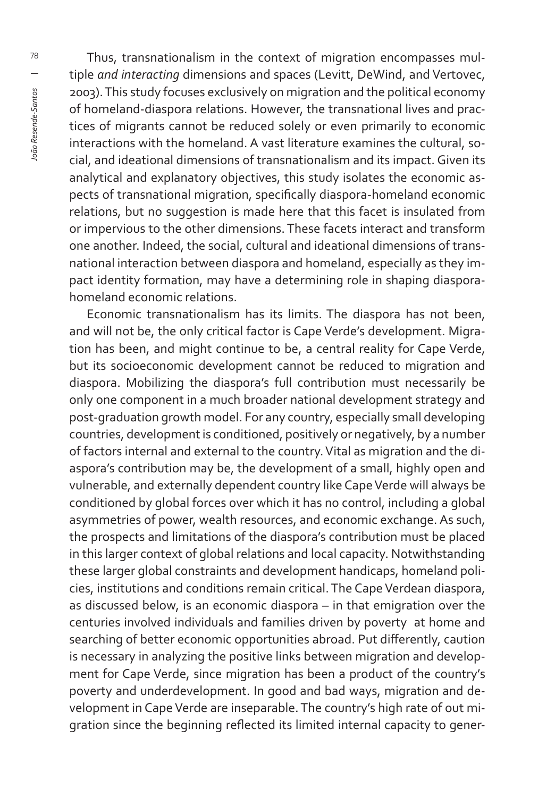Thus, transnationalism in the context of migration encompasses multiple *and interacting* dimensions and spaces (Levitt, DeWind, and Vertovec, 2003). This study focuses exclusively on migration and the political economy of homeland-diaspora relations. However, the transnational lives and practices of migrants cannot be reduced solely or even primarily to economic interactions with the homeland. A vast literature examines the cultural, social, and ideational dimensions of transnationalism and its impact. Given its analytical and explanatory objectives, this study isolates the economic aspects of transnational migration, specifically diaspora-homeland economic relations, but no suggestion is made here that this facet is insulated from or impervious to the other dimensions. These facets interact and transform one another. Indeed, the social, cultural and ideational dimensions of transnational interaction between diaspora and homeland, especially as they impact identity formation, may have a determining role in shaping diasporahomeland economic relations.

Economic transnationalism has its limits. The diaspora has not been, and will not be, the only critical factor is Cape Verde's development. Migration has been, and might continue to be, a central reality for Cape Verde, but its socioeconomic development cannot be reduced to migration and diaspora. Mobilizing the diaspora's full contribution must necessarily be only one component in a much broader national development strategy and post-graduation growth model. For any country, especially small developing countries, development is conditioned, positively or negatively, by a number of factors internal and external to the country. Vital as migration and the diaspora's contribution may be, the development of a small, highly open and vulnerable, and externally dependent country like Cape Verde will always be conditioned by global forces over which it has no control, including a global asymmetries of power, wealth resources, and economic exchange. As such, the prospects and limitations of the diaspora's contribution must be placed in this larger context of global relations and local capacity. Notwithstanding these larger global constraints and development handicaps, homeland policies, institutions and conditions remain critical. The Cape Verdean diaspora, as discussed below, is an economic diaspora – in that emigration over the centuries involved individuals and families driven by poverty at home and searching of better economic opportunities abroad. Put differently, caution is necessary in analyzing the positive links between migration and development for Cape Verde, since migration has been a product of the country's poverty and underdevelopment. In good and bad ways, migration and development in Cape Verde are inseparable. The country's high rate of out migration since the beginning reflected its limited internal capacity to gener-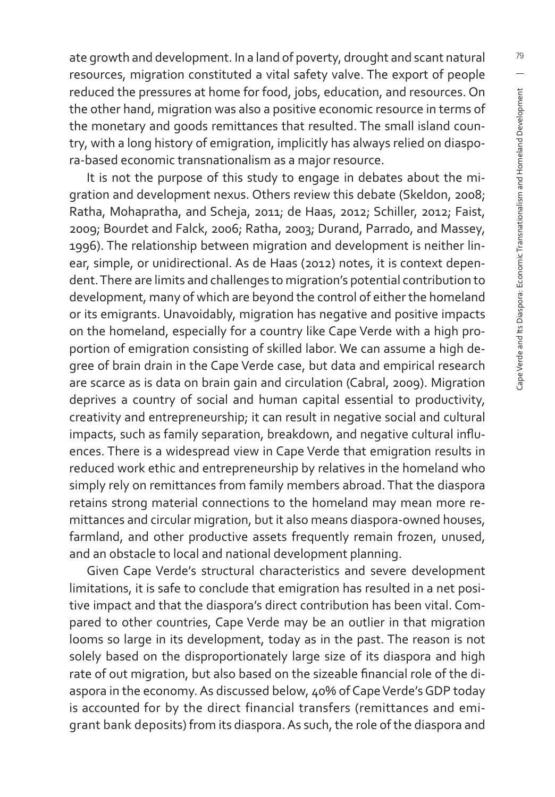ate growth and development. In a land of poverty, drought and scant natural resources, migration constituted a vital safety valve. The export of people reduced the pressures at home for food, jobs, education, and resources. On the other hand, migration was also a positive economic resource in terms of the monetary and goods remittances that resulted. The small island country, with a long history of emigration, implicitly has always relied on diaspora-based economic transnationalism as a major resource.

It is not the purpose of this study to engage in debates about the migration and development nexus. Others review this debate (Skeldon, 2008; Ratha, Mohapratha, and Scheja, 2011; de Haas, 2012; Schiller, 2012; Faist, 2009; Bourdet and Falck, 2006; Ratha, 2003; Durand, Parrado, and Massey, 1996). The relationship between migration and development is neither linear, simple, or unidirectional. As de Haas (2012) notes, it is context dependent. There are limits and challenges to migration's potential contribution to development, many of which are beyond the control of either the homeland or its emigrants. Unavoidably, migration has negative and positive impacts on the homeland, especially for a country like Cape Verde with a high proportion of emigration consisting of skilled labor. We can assume a high degree of brain drain in the Cape Verde case, but data and empirical research are scarce as is data on brain gain and circulation (Cabral, 2009). Migration deprives a country of social and human capital essential to productivity, creativity and entrepreneurship; it can result in negative social and cultural impacts, such as family separation, breakdown, and negative cultural influences. There is a widespread view in Cape Verde that emigration results in reduced work ethic and entrepreneurship by relatives in the homeland who simply rely on remittances from family members abroad. That the diaspora retains strong material connections to the homeland may mean more remittances and circular migration, but it also means diaspora-owned houses, farmland, and other productive assets frequently remain frozen, unused, and an obstacle to local and national development planning.

Given Cape Verde's structural characteristics and severe development limitations, it is safe to conclude that emigration has resulted in a net positive impact and that the diaspora's direct contribution has been vital. Compared to other countries, Cape Verde may be an outlier in that migration looms so large in its development, today as in the past. The reason is not solely based on the disproportionately large size of its diaspora and high rate of out migration, but also based on the sizeable financial role of the diaspora in the economy. As discussed below, 40% of Cape Verde's GDP today is accounted for by the direct financial transfers (remittances and emigrant bank deposits) from its diaspora. As such, the role of the diaspora and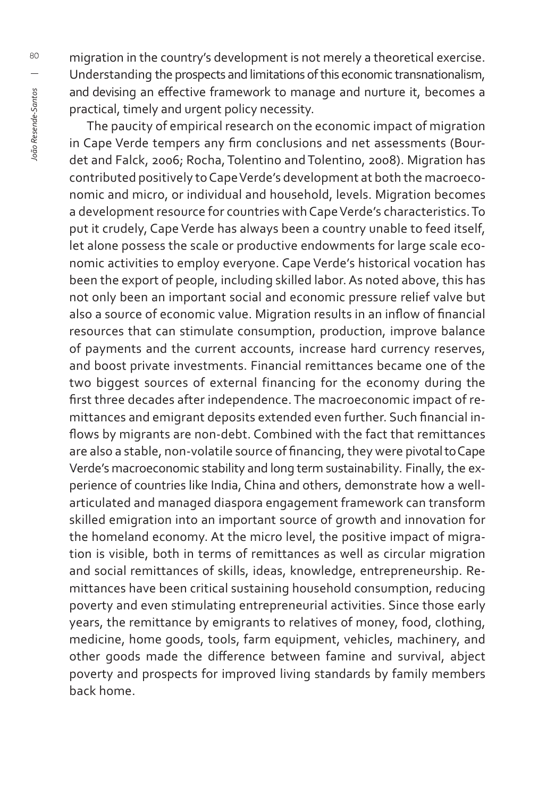migration in the country's development is not merely a theoretical exercise. Understanding the prospects and limitations of this economic transnationalism, and devising an effective framework to manage and nurture it, becomes a practical, timely and urgent policy necessity.

The paucity of empirical research on the economic impact of migration in Cape Verde tempers any firm conclusions and net assessments (Bourdet and Falck, 2006; Rocha, Tolentino and Tolentino, 2008). Migration has contributed positively to Cape Verde's development at both the macroeconomic and micro, or individual and household, levels. Migration becomes a development resource for countries with Cape Verde's characteristics. To put it crudely, Cape Verde has always been a country unable to feed itself, let alone possess the scale or productive endowments for large scale economic activities to employ everyone. Cape Verde's historical vocation has been the export of people, including skilled labor. As noted above, this has not only been an important social and economic pressure relief valve but also a source of economic value. Migration results in an inflow of financial resources that can stimulate consumption, production, improve balance of payments and the current accounts, increase hard currency reserves, and boost private investments. Financial remittances became one of the two biggest sources of external financing for the economy during the first three decades after independence. The macroeconomic impact of remittances and emigrant deposits extended even further. Such financial inflows by migrants are non-debt. Combined with the fact that remittances are also a stable, non-volatile source of financing, they were pivotal to Cape Verde's macroeconomic stability and long term sustainability. Finally, the experience of countries like India, China and others, demonstrate how a wellarticulated and managed diaspora engagement framework can transform skilled emigration into an important source of growth and innovation for the homeland economy. At the micro level, the positive impact of migration is visible, both in terms of remittances as well as circular migration and social remittances of skills, ideas, knowledge, entrepreneurship. Remittances have been critical sustaining household consumption, reducing poverty and even stimulating entrepreneurial activities. Since those early years, the remittance by emigrants to relatives of money, food, clothing, medicine, home goods, tools, farm equipment, vehicles, machinery, and other goods made the difference between famine and survival, abject poverty and prospects for improved living standards by family members back home.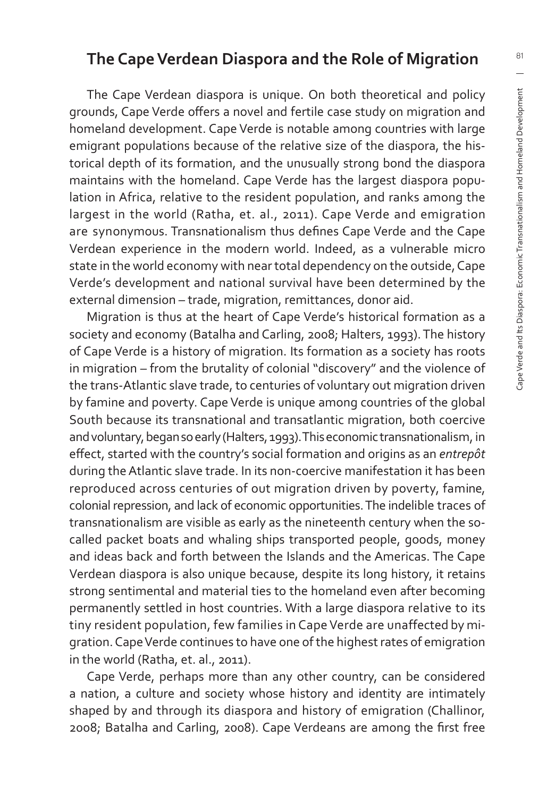#### **The Cape Verdean Diaspora and the Role of Migration**

The Cape Verdean diaspora is unique. On both theoretical and policy grounds, Cape Verde offers a novel and fertile case study on migration and homeland development. Cape Verde is notable among countries with large emigrant populations because of the relative size of the diaspora, the historical depth of its formation, and the unusually strong bond the diaspora maintains with the homeland. Cape Verde has the largest diaspora population in Africa, relative to the resident population, and ranks among the largest in the world (Ratha, et. al., 2011). Cape Verde and emigration are synonymous. Transnationalism thus defines Cape Verde and the Cape Verdean experience in the modern world. Indeed, as a vulnerable micro state in the world economy with near total dependency on the outside, Cape Verde's development and national survival have been determined by the external dimension – trade, migration, remittances, donor aid.

Migration is thus at the heart of Cape Verde's historical formation as a society and economy (Batalha and Carling, 2008; Halters, 1993). The history of Cape Verde is a history of migration. Its formation as a society has roots in migration – from the brutality of colonial "discovery" and the violence of the trans-Atlantic slave trade, to centuries of voluntary out migration driven by famine and poverty. Cape Verde is unique among countries of the global South because its transnational and transatlantic migration, both coercive and voluntary, began so early (Halters, 1993). This economic transnationalism, in effect, started with the country's social formation and origins as an *entrepôt* during the Atlantic slave trade. In its non-coercive manifestation it has been reproduced across centuries of out migration driven by poverty, famine, colonial repression, and lack of economic opportunities. The indelible traces of transnationalism are visible as early as the nineteenth century when the socalled packet boats and whaling ships transported people, goods, money and ideas back and forth between the Islands and the Americas. The Cape Verdean diaspora is also unique because, despite its long history, it retains strong sentimental and material ties to the homeland even after becoming permanently settled in host countries. With a large diaspora relative to its tiny resident population, few families in Cape Verde are unaffected by migration. Cape Verde continues to have one of the highest rates of emigration in the world (Ratha, et. al., 2011).

Cape Verde, perhaps more than any other country, can be considered a nation, a culture and society whose history and identity are intimately shaped by and through its diaspora and history of emigration (Challinor, 2008; Batalha and Carling, 2008). Cape Verdeans are among the first free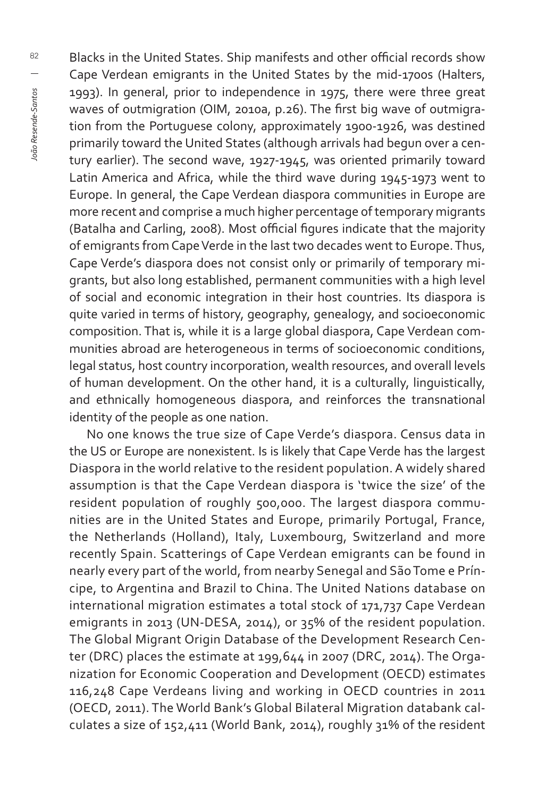Blacks in the United States. Ship manifests and other official records show Cape Verdean emigrants in the United States by the mid-1700s (Halters, 1993). In general, prior to independence in 1975, there were three great waves of outmigration (OIM, 2010a, p.26). The first big wave of outmigration from the Portuguese colony, approximately 1900-1926, was destined primarily toward the United States (although arrivals had begun over a century earlier). The second wave, 1927-1945, was oriented primarily toward Latin America and Africa, while the third wave during 1945-1973 went to Europe. In general, the Cape Verdean diaspora communities in Europe are more recent and comprise a much higher percentage of temporary migrants (Batalha and Carling, 2008). Most official figures indicate that the majority of emigrants from Cape Verde in the last two decades went to Europe. Thus, Cape Verde's diaspora does not consist only or primarily of temporary migrants, but also long established, permanent communities with a high level of social and economic integration in their host countries. Its diaspora is quite varied in terms of history, geography, genealogy, and socioeconomic composition. That is, while it is a large global diaspora, Cape Verdean communities abroad are heterogeneous in terms of socioeconomic conditions, legal status, host country incorporation, wealth resources, and overall levels of human development. On the other hand, it is a culturally, linguistically, and ethnically homogeneous diaspora, and reinforces the transnational identity of the people as one nation.

No one knows the true size of Cape Verde's diaspora. Census data in the US or Europe are nonexistent. Is is likely that Cape Verde has the largest Diaspora in the world relative to the resident population. A widely shared assumption is that the Cape Verdean diaspora is 'twice the size' of the resident population of roughly 500,000. The largest diaspora communities are in the United States and Europe, primarily Portugal, France, the Netherlands (Holland), Italy, Luxembourg, Switzerland and more recently Spain. Scatterings of Cape Verdean emigrants can be found in nearly every part of the world, from nearby Senegal and São Tome e Príncipe, to Argentina and Brazil to China. The United Nations database on international migration estimates a total stock of 171,737 Cape Verdean emigrants in 2013 (UN-DESA, 2014), or 35% of the resident population. The Global Migrant Origin Database of the Development Research Center (DRC) places the estimate at 199,644 in 2007 (DRC, 2014). The Organization for Economic Cooperation and Development (OECD) estimates 116,248 Cape Verdeans living and working in OECD countries in 2011 (OECD, 2011). The World Bank's Global Bilateral Migration databank calculates a size of 152,411 (World Bank, 2014), roughly 31% of the resident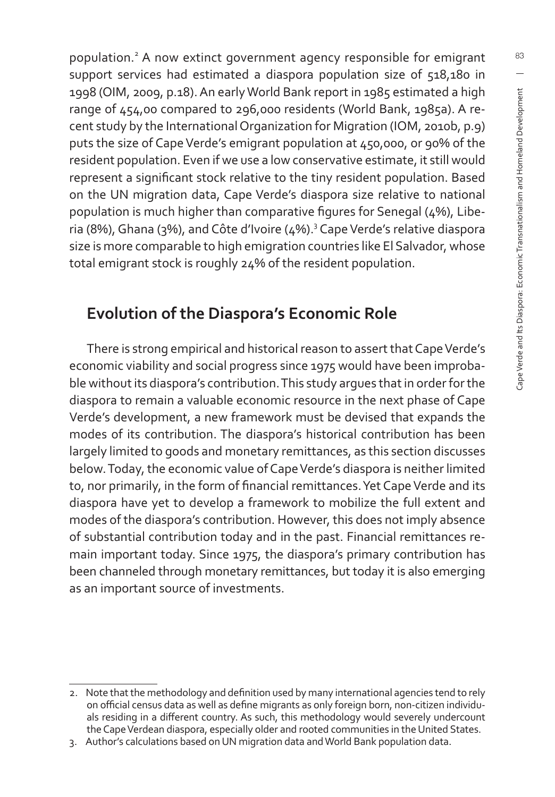population.<sup>2</sup> A now extinct government agency responsible for emigrant support services had estimated a diaspora population size of 518,180 in 1998 (OIM, 2009, p.18). An early World Bank report in 1985 estimated a high range of 454,00 compared to 296,000 residents (World Bank, 1985a). A recent study by the International Organization for Migration (IOM, 2010b, p.9) puts the size of Cape Verde's emigrant population at 450,000, or 90% of the resident population. Even if we use a low conservative estimate, it still would represent a significant stock relative to the tiny resident population. Based on the UN migration data, Cape Verde's diaspora size relative to national population is much higher than comparative figures for Senegal (4%), Liberia (8%), Ghana (3%), and Côte d'Ivoire (4%).<sup>3</sup> Cape Verde's relative diaspora size is more comparable to high emigration countries like El Salvador, whose total emigrant stock is roughly 24% of the resident population.

## **Evolution of the Diaspora's Economic Role**

There is strong empirical and historical reason to assert that Cape Verde's economic viability and social progress since 1975 would have been improbable without its diaspora's contribution. This study argues that in order for the diaspora to remain a valuable economic resource in the next phase of Cape Verde's development, a new framework must be devised that expands the modes of its contribution. The diaspora's historical contribution has been largely limited to goods and monetary remittances, as this section discusses below. Today, the economic value of Cape Verde's diaspora is neither limited to, nor primarily, in the form of financial remittances. Yet Cape Verde and its diaspora have yet to develop a framework to mobilize the full extent and modes of the diaspora's contribution. However, this does not imply absence of substantial contribution today and in the past. Financial remittances remain important today. Since 1975, the diaspora's primary contribution has been channeled through monetary remittances, but today it is also emerging as an important source of investments.

<sup>2.</sup> Note that the methodology and definition used by many international agencies tend to rely on official census data as well as define migrants as only foreign born, non-citizen individuals residing in a different country. As such, this methodology would severely undercount the Cape Verdean diaspora, especially older and rooted communities in the United States.

<sup>3.</sup> Author's calculations based on UN migration data and World Bank population data.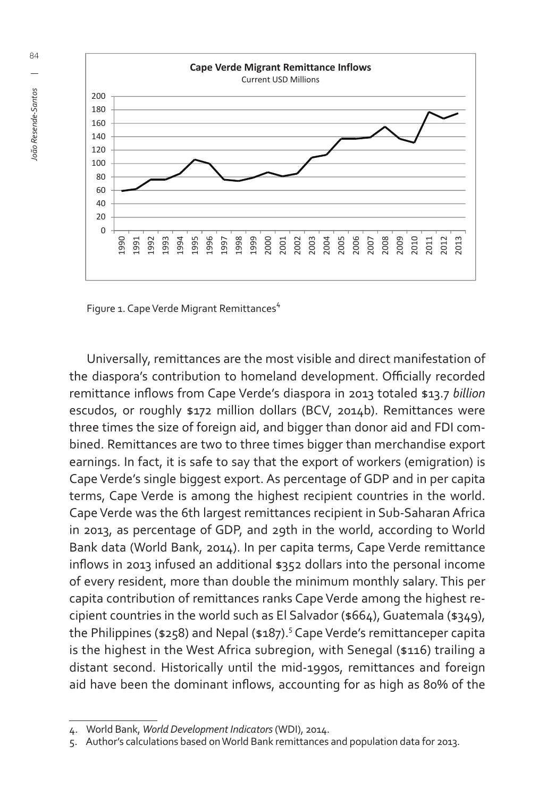

Figure 1. Cape Verde Migrant Remittances<sup>4</sup>

Universally, remittances are the most visible and direct manifestation of the diaspora's contribution to homeland development. Officially recorded remittance infl ows from Cape Verde's diaspora in 2013 totaled \$13.7 *billion* escudos, or roughly \$172 million dollars (BCV, 2014b). Remittances were three times the size of foreign aid, and bigger than donor aid and FDI combined. Remittances are two to three times bigger than merchandise export earnings. In fact, it is safe to say that the export of workers (emigration) is Cape Verde's single biggest export. As percentage of GDP and in per capita terms, Cape Verde is among the highest recipient countries in the world. Cape Verde was the 6th largest remittances recipient in Sub-Saharan Africa in 2013, as percentage of GDP, and 29th in the world, according to World Bank data (World Bank, 2014). In per capita terms, Cape Verde remittance inflows in 2013 infused an additional \$352 dollars into the personal income of every resident, more than double the minimum monthly salary. This per capita contribution of remittances ranks Cape Verde among the highest recipient countries in the world such as El Salvador (\$664), Guatemala (\$349), the Philippines (\$258) and Nepal (\$187).<sup>5</sup> Cape Verde's remittanceper capita is the highest in the West Africa subregion, with Senegal (\$116) trailing a distant second. Historically until the mid-1990s, remittances and foreign aid have been the dominant inflows, accounting for as high as 80% of the

<sup>4.</sup> World Bank, *World Development Indicators* (WDI), 2014.

<sup>5.</sup> Author's calculations based on World Bank remittances and population data for 2013.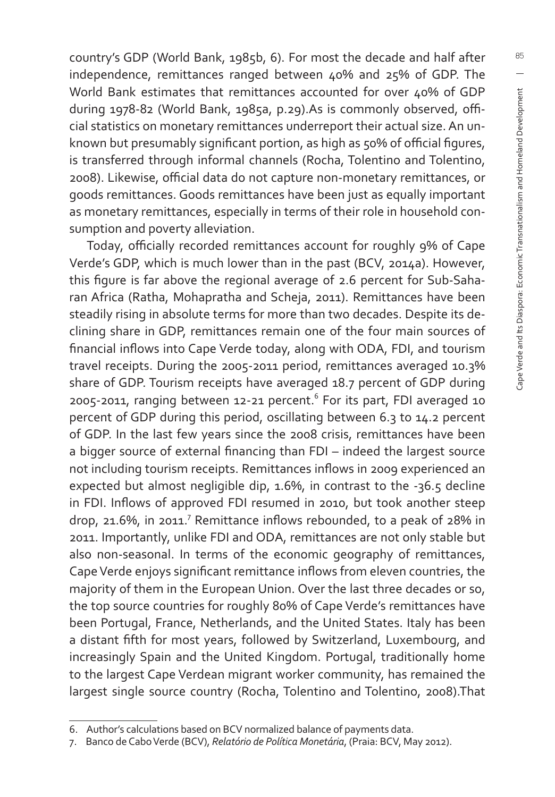country's GDP (World Bank, 1985b, 6). For most the decade and half after independence, remittances ranged between 40% and 25% of GDP. The World Bank estimates that remittances accounted for over 40% of GDP during 1978-82 (World Bank, 1985a, p.29).As is commonly observed, official statistics on monetary remittances underreport their actual size. An unknown but presumably significant portion, as high as 50% of official figures, is transferred through informal channels (Rocha, Tolentino and Tolentino, 2008). Likewise, official data do not capture non-monetary remittances, or goods remittances. Goods remittances have been just as equally important as monetary remittances, especially in terms of their role in household consumption and poverty alleviation.

Today, officially recorded remittances account for roughly 9% of Cape Verde's GDP, which is much lower than in the past (BCV, 2014a). However, this figure is far above the regional average of 2.6 percent for Sub-Saharan Africa (Ratha, Mohapratha and Scheja, 2011). Remittances have been steadily rising in absolute terms for more than two decades. Despite its declining share in GDP, remittances remain one of the four main sources of financial inflows into Cape Verde today, along with ODA, FDI, and tourism travel receipts. During the 2005-2011 period, remittances averaged 10.3% share of GDP. Tourism receipts have averaged 18.7 percent of GDP during 2005-2011, ranging between 12-21 percent. $^6$  For its part, FDI averaged 10 percent of GDP during this period, oscillating between 6.3 to 14.2 percent of GDP. In the last few years since the 2008 crisis, remittances have been a bigger source of external financing than FDI – indeed the largest source not including tourism receipts. Remittances inflows in 2009 experienced an expected but almost negligible dip, 1.6%, in contrast to the -36.5 decline in FDI. Inflows of approved FDI resumed in 2010, but took another steep drop, 21.6%, in 2011.<sup>7</sup> Remittance inflows rebounded, to a peak of 28% in 2011. Importantly, unlike FDI and ODA, remittances are not only stable but also non-seasonal. In terms of the economic geography of remittances, Cape Verde enjoys significant remittance inflows from eleven countries, the majority of them in the European Union. Over the last three decades or so, the top source countries for roughly 80% of Cape Verde's remittances have been Portugal, France, Netherlands, and the United States. Italy has been a distant fifth for most years, followed by Switzerland, Luxembourg, and increasingly Spain and the United Kingdom. Portugal, traditionally home to the largest Cape Verdean migrant worker community, has remained the largest single source country (Rocha, Tolentino and Tolentino, 2008).That

<sup>6.</sup> Author's calculations based on BCV normalized balance of payments data.

<sup>7.</sup> Banco de Cabo Verde (BCV), *Relatório de Política Monetária*, (Praia: BCV, May 2012).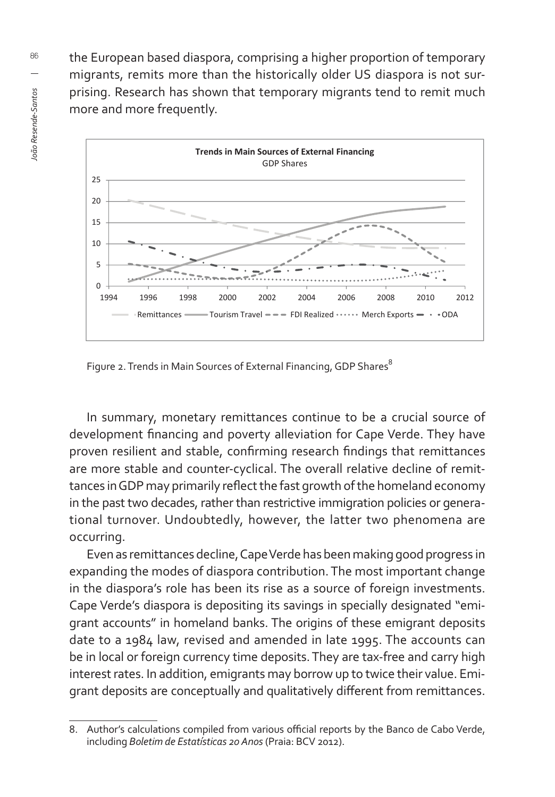the European based diaspora, comprising a higher proportion of temporary migrants, remits more than the historically older US diaspora is not surprising. Research has shown that temporary migrants tend to remit much more and more frequently.



Figure 2. Trends in Main Sources of External Financing, GDP Shares

In summary, monetary remittances continue to be a crucial source of development financing and poverty alleviation for Cape Verde. They have proven resilient and stable, confirming research findings that remittances are more stable and counter-cyclical. The overall relative decline of remittances in GDP may primarily reflect the fast growth of the homeland economy in the past two decades, rather than restrictive immigration policies or generational turnover. Undoubtedly, however, the latter two phenomena are occurring.

Even as remittances decline, Cape Verde has been making good progress in expanding the modes of diaspora contribution. The most important change in the diaspora's role has been its rise as a source of foreign investments. Cape Verde's diaspora is depositing its savings in specially designated "emigrant accounts" in homeland banks. The origins of these emigrant deposits date to a 1984 law, revised and amended in late 1995. The accounts can be in local or foreign currency time deposits. They are tax-free and carry high interest rates. In addition, emigrants may borrow up to twice their value. Emigrant deposits are conceptually and qualitatively different from remittances.

<sup>8.</sup> Author's calculations compiled from various official reports by the Banco de Cabo Verde, including *Boletim de Estatísticas 20 Anos* (Praia: BCV 2012).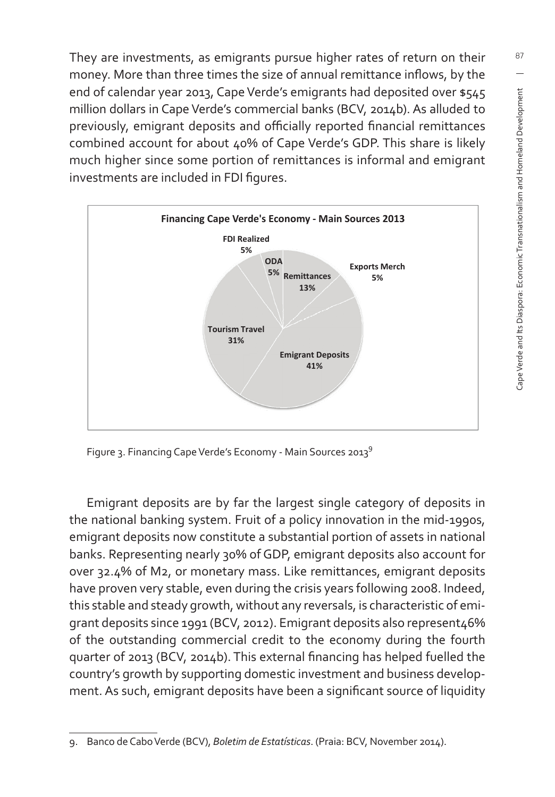They are investments, as emigrants pursue higher rates of return on their money. More than three times the size of annual remittance inflows, by the end of calendar year 2013, Cape Verde's emigrants had deposited over \$545 million dollars in Cape Verde's commercial banks (BCV, 2014b). As alluded to previously, emigrant deposits and officially reported financial remittances combined account for about 40% of Cape Verde's GDP. This share is likely much higher since some portion of remittances is informal and emigrant investments are included in FDI figures.



Figure 3. Financing Cape Verde's Economy - Main Sources 2013<sup>9</sup>

Emigrant deposits are by far the largest single category of deposits in the national banking system. Fruit of a policy innovation in the mid-1990s, emigrant deposits now constitute a substantial portion of assets in national banks. Representing nearly 30% of GDP, emigrant deposits also account for over 32.4% of M2, or monetary mass. Like remittances, emigrant deposits have proven very stable, even during the crisis years following 2008. Indeed, this stable and steady growth, without any reversals, is characteristic of emigrant deposits since 1991 (BCV, 2012). Emigrant deposits also represent46% of the outstanding commercial credit to the economy during the fourth quarter of 2013 (BCV, 2014b). This external financing has helped fuelled the country's growth by supporting domestic investment and business development. As such, emigrant deposits have been a significant source of liquidity

<sup>9.</sup> Banco de Cabo Verde (BCV), *Boletim de Estatísticas*. (Praia: BCV, November 2014).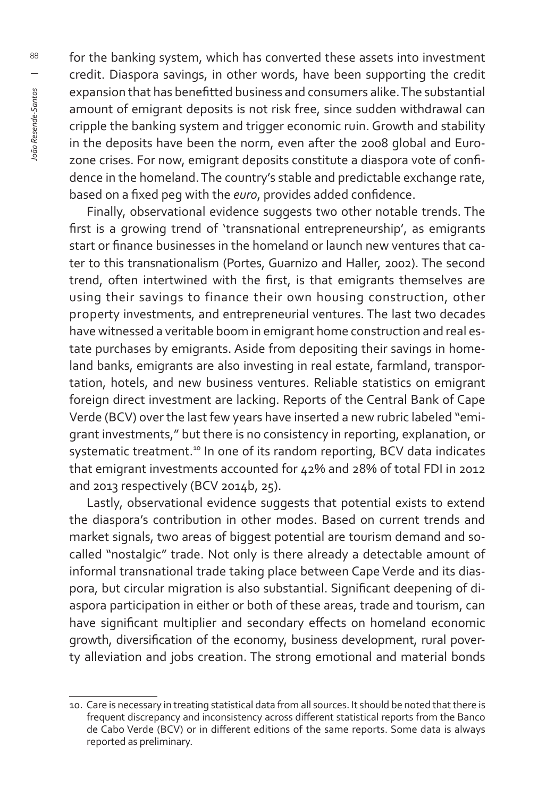for the banking system, which has converted these assets into investment credit. Diaspora savings, in other words, have been supporting the credit expansion that has benefitted business and consumers alike. The substantial amount of emigrant deposits is not risk free, since sudden withdrawal can cripple the banking system and trigger economic ruin. Growth and stability in the deposits have been the norm, even after the 2008 global and Eurozone crises. For now, emigrant deposits constitute a diaspora vote of confidence in the homeland. The country's stable and predictable exchange rate, based on a fixed peg with the *euro*, provides added confidence.

Finally, observational evidence suggests two other notable trends. The first is a growing trend of 'transnational entrepreneurship', as emigrants start or finance businesses in the homeland or launch new ventures that cater to this transnationalism (Portes, Guarnizo and Haller, 2002). The second trend, often intertwined with the first, is that emigrants themselves are using their savings to finance their own housing construction, other property investments, and entrepreneurial ventures. The last two decades have witnessed a veritable boom in emigrant home construction and real estate purchases by emigrants. Aside from depositing their savings in homeland banks, emigrants are also investing in real estate, farmland, transportation, hotels, and new business ventures. Reliable statistics on emigrant foreign direct investment are lacking. Reports of the Central Bank of Cape Verde (BCV) over the last few years have inserted a new rubric labeled "emigrant investments," but there is no consistency in reporting, explanation, or systematic treatment.<sup>10</sup> In one of its random reporting, BCV data indicates that emigrant investments accounted for 42% and 28% of total FDI in 2012 and 2013 respectively (BCV 2014b, 25).

Lastly, observational evidence suggests that potential exists to extend the diaspora's contribution in other modes. Based on current trends and market signals, two areas of biggest potential are tourism demand and socalled "nostalgic" trade. Not only is there already a detectable amount of informal transnational trade taking place between Cape Verde and its diaspora, but circular migration is also substantial. Significant deepening of diaspora participation in either or both of these areas, trade and tourism, can have significant multiplier and secondary effects on homeland economic growth, diversification of the economy, business development, rural poverty alleviation and jobs creation. The strong emotional and material bonds

<sup>10.</sup> Care is necessary in treating statistical data from all sources. It should be noted that there is frequent discrepancy and inconsistency across different statistical reports from the Banco de Cabo Verde (BCV) or in different editions of the same reports. Some data is always reported as preliminary.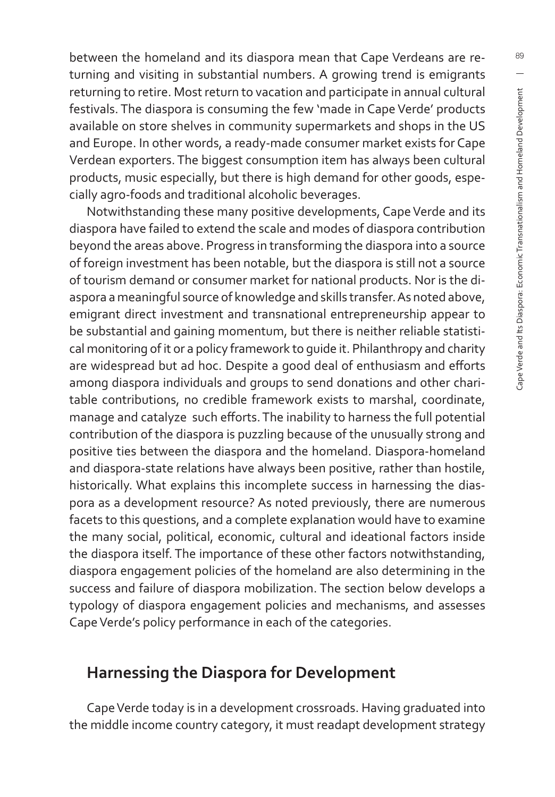between the homeland and its diaspora mean that Cape Verdeans are returning and visiting in substantial numbers. A growing trend is emigrants returning to retire. Most return to vacation and participate in annual cultural festivals. The diaspora is consuming the few 'made in Cape Verde' products available on store shelves in community supermarkets and shops in the US and Europe. In other words, a ready-made consumer market exists for Cape Verdean exporters. The biggest consumption item has always been cultural products, music especially, but there is high demand for other goods, especially agro-foods and traditional alcoholic beverages.

Notwithstanding these many positive developments, Cape Verde and its diaspora have failed to extend the scale and modes of diaspora contribution beyond the areas above. Progress in transforming the diaspora into a source of foreign investment has been notable, but the diaspora is still not a source of tourism demand or consumer market for national products. Nor is the diaspora a meaningful source of knowledge and skills transfer. As noted above, emigrant direct investment and transnational entrepreneurship appear to be substantial and gaining momentum, but there is neither reliable statistical monitoring of it or a policy framework to guide it. Philanthropy and charity are widespread but ad hoc. Despite a good deal of enthusiasm and efforts among diaspora individuals and groups to send donations and other charitable contributions, no credible framework exists to marshal, coordinate, manage and catalyze such efforts. The inability to harness the full potential contribution of the diaspora is puzzling because of the unusually strong and positive ties between the diaspora and the homeland. Diaspora-homeland and diaspora-state relations have always been positive, rather than hostile, historically. What explains this incomplete success in harnessing the diaspora as a development resource? As noted previously, there are numerous facets to this questions, and a complete explanation would have to examine the many social, political, economic, cultural and ideational factors inside the diaspora itself. The importance of these other factors notwithstanding, diaspora engagement policies of the homeland are also determining in the success and failure of diaspora mobilization. The section below develops a typology of diaspora engagement policies and mechanisms, and assesses Cape Verde's policy performance in each of the categories.

#### **Harnessing the Diaspora for Development**

Cape Verde today is in a development crossroads. Having graduated into the middle income country category, it must readapt development strategy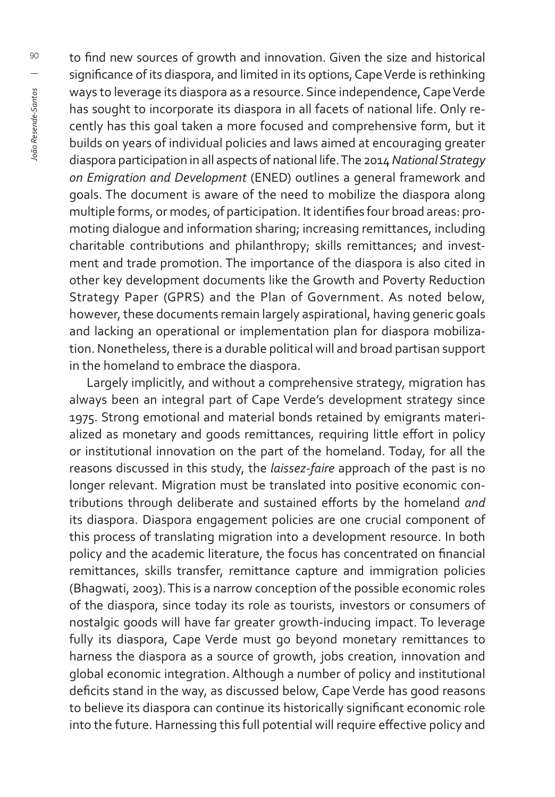to find new sources of growth and innovation. Given the size and historical significance of its diaspora, and limited in its options, Cape Verde is rethinking ways to leverage its diaspora as a resource. Since independence, Cape Verde has sought to incorporate its diaspora in all facets of national life. Only recently has this goal taken a more focused and comprehensive form, but it builds on years of individual policies and laws aimed at encouraging greater diaspora participation in all aspects of national life. The 2014 *National Strategy on Emigration and Development* (ENED) outlines a general framework and goals. The document is aware of the need to mobilize the diaspora along multiple forms, or modes, of participation. It identifies four broad areas: promoting dialogue and information sharing; increasing remittances, including charitable contributions and philanthropy; skills remittances; and investment and trade promotion. The importance of the diaspora is also cited in other key development documents like the Growth and Poverty Reduction Strategy Paper (GPRS) and the Plan of Government. As noted below, however, these documents remain largely aspirational, having generic goals and lacking an operational or implementation plan for diaspora mobilization. Nonetheless, there is a durable political will and broad partisan support in the homeland to embrace the diaspora.

Largely implicitly, and without a comprehensive strategy, migration has always been an integral part of Cape Verde's development strategy since 1975. Strong emotional and material bonds retained by emigrants materialized as monetary and goods remittances, requiring little effort in policy or institutional innovation on the part of the homeland. Today, for all the reasons discussed in this study, the *laissez-faire* approach of the past is no longer relevant. Migration must be translated into positive economic contributions through deliberate and sustained efforts by the homeland and its diaspora. Diaspora engagement policies are one crucial component of this process of translating migration into a development resource. In both policy and the academic literature, the focus has concentrated on financial remittances, skills transfer, remittance capture and immigration policies (Bhagwati, 2003). This is a narrow conception of the possible economic roles of the diaspora, since today its role as tourists, investors or consumers of nostalgic goods will have far greater growth-inducing impact. To leverage fully its diaspora, Cape Verde must go beyond monetary remittances to harness the diaspora as a source of growth, jobs creation, innovation and global economic integration. Although a number of policy and institutional deficits stand in the way, as discussed below, Cape Verde has good reasons to believe its diaspora can continue its historically significant economic role into the future. Harnessing this full potential will require effective policy and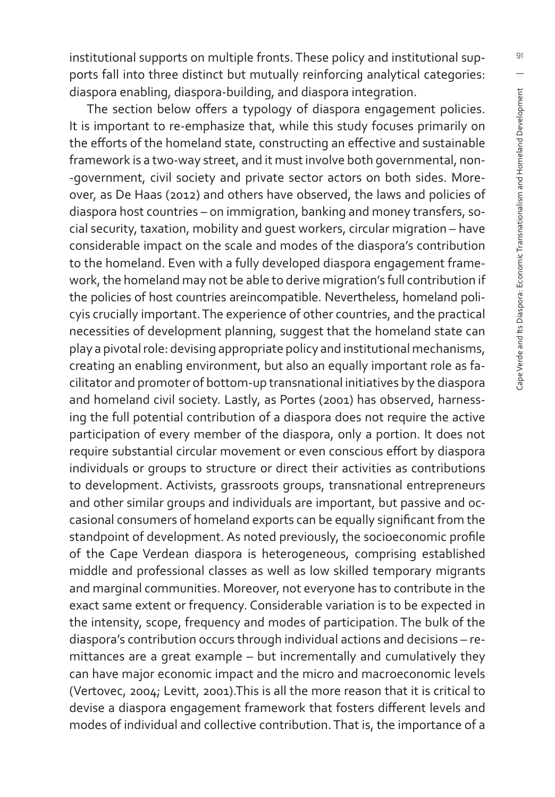institutional supports on multiple fronts. These policy and institutional supports fall into three distinct but mutually reinforcing analytical categories: diaspora enabling, diaspora-building, and diaspora integration.

The section below offers a typology of diaspora engagement policies. It is important to re-emphasize that, while this study focuses primarily on the efforts of the homeland state, constructing an effective and sustainable framework is a two-way street, and it must involve both governmental, non- -government, civil society and private sector actors on both sides. Moreover, as De Haas (2012) and others have observed, the laws and policies of diaspora host countries – on immigration, banking and money transfers, social security, taxation, mobility and guest workers, circular migration – have considerable impact on the scale and modes of the diaspora's contribution to the homeland. Even with a fully developed diaspora engagement framework, the homeland may not be able to derive migration's full contribution if the policies of host countries areincompatible. Nevertheless, homeland policyis crucially important. The experience of other countries, and the practical necessities of development planning, suggest that the homeland state can play a pivotal role: devising appropriate policy and institutional mechanisms, creating an enabling environment, but also an equally important role as facilitator and promoter of bottom-up transnational initiatives by the diaspora and homeland civil society. Lastly, as Portes (2001) has observed, harnessing the full potential contribution of a diaspora does not require the active participation of every member of the diaspora, only a portion. It does not require substantial circular movement or even conscious effort by diaspora individuals or groups to structure or direct their activities as contributions to development. Activists, grassroots groups, transnational entrepreneurs and other similar groups and individuals are important, but passive and occasional consumers of homeland exports can be equally significant from the standpoint of development. As noted previously, the socioeconomic profile of the Cape Verdean diaspora is heterogeneous, comprising established middle and professional classes as well as low skilled temporary migrants and marginal communities. Moreover, not everyone has to contribute in the exact same extent or frequency. Considerable variation is to be expected in the intensity, scope, frequency and modes of participation. The bulk of the diaspora's contribution occurs through individual actions and decisions – remittances are a great example – but incrementally and cumulatively they can have major economic impact and the micro and macroeconomic levels (Vertovec, 2004; Levitt, 2001).This is all the more reason that it is critical to devise a diaspora engagement framework that fosters different levels and modes of individual and collective contribution. That is, the importance of a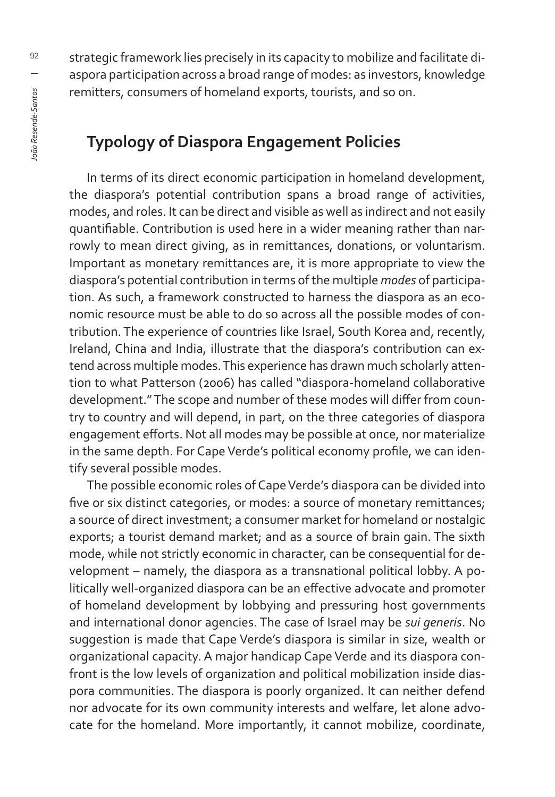strategic framework lies precisely in its capacity to mobilize and facilitate diaspora participation across a broad range of modes: as investors, knowledge remitters, consumers of homeland exports, tourists, and so on.

## **Typology of Diaspora Engagement Policies**

In terms of its direct economic participation in homeland development, the diaspora's potential contribution spans a broad range of activities, modes, and roles. It can be direct and visible as well as indirect and not easily quantifiable. Contribution is used here in a wider meaning rather than narrowly to mean direct giving, as in remittances, donations, or voluntarism. Important as monetary remittances are, it is more appropriate to view the diaspora's potential contribution in terms of the multiple *modes* of participation. As such, a framework constructed to harness the diaspora as an economic resource must be able to do so across all the possible modes of contribution. The experience of countries like Israel, South Korea and, recently, Ireland, China and India, illustrate that the diaspora's contribution can extend across multiple modes. This experience has drawn much scholarly attention to what Patterson (2006) has called "diaspora-homeland collaborative development." The scope and number of these modes will differ from country to country and will depend, in part, on the three categories of diaspora engagement efforts. Not all modes may be possible at once, nor materialize in the same depth. For Cape Verde's political economy profile, we can identify several possible modes.

The possible economic roles of Cape Verde's diaspora can be divided into five or six distinct categories, or modes: a source of monetary remittances; a source of direct investment; a consumer market for homeland or nostalgic exports; a tourist demand market; and as a source of brain gain. The sixth mode, while not strictly economic in character, can be consequential for development – namely, the diaspora as a transnational political lobby. A politically well-organized diaspora can be an effective advocate and promoter of homeland development by lobbying and pressuring host governments and international donor agencies. The case of Israel may be *sui generis*. No suggestion is made that Cape Verde's diaspora is similar in size, wealth or organizational capacity. A major handicap Cape Verde and its diaspora confront is the low levels of organization and political mobilization inside diaspora communities. The diaspora is poorly organized. It can neither defend nor advocate for its own community interests and welfare, let alone advocate for the homeland. More importantly, it cannot mobilize, coordinate,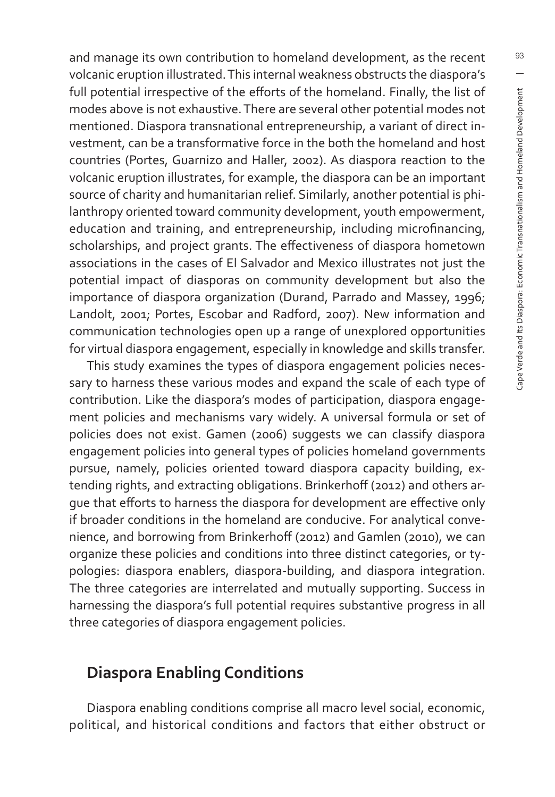and manage its own contribution to homeland development, as the recent volcanic eruption illustrated. This internal weakness obstructs the diaspora's full potential irrespective of the efforts of the homeland. Finally, the list of modes above is not exhaustive. There are several other potential modes not mentioned. Diaspora transnational entrepreneurship, a variant of direct investment, can be a transformative force in the both the homeland and host countries (Portes, Guarnizo and Haller, 2002). As diaspora reaction to the volcanic eruption illustrates, for example, the diaspora can be an important source of charity and humanitarian relief. Similarly, another potential is philanthropy oriented toward community development, youth empowerment, education and training, and entrepreneurship, including microfinancing, scholarships, and project grants. The effectiveness of diaspora hometown associations in the cases of El Salvador and Mexico illustrates not just the potential impact of diasporas on community development but also the importance of diaspora organization (Durand, Parrado and Massey, 1996; Landolt, 2001; Portes, Escobar and Radford, 2007). New information and communication technologies open up a range of unexplored opportunities for virtual diaspora engagement, especially in knowledge and skills transfer.

This study examines the types of diaspora engagement policies necessary to harness these various modes and expand the scale of each type of contribution. Like the diaspora's modes of participation, diaspora engagement policies and mechanisms vary widely. A universal formula or set of policies does not exist. Gamen (2006) suggests we can classify diaspora engagement policies into general types of policies homeland governments pursue, namely, policies oriented toward diaspora capacity building, extending rights, and extracting obligations. Brinkerhoff (2012) and others argue that efforts to harness the diaspora for development are effective only if broader conditions in the homeland are conducive. For analytical convenience, and borrowing from Brinkerhoff (2012) and Gamlen (2010), we can organize these policies and conditions into three distinct categories, or typologies: diaspora enablers, diaspora-building, and diaspora integration. The three categories are interrelated and mutually supporting. Success in harnessing the diaspora's full potential requires substantive progress in all three categories of diaspora engagement policies.

## **Diaspora Enabling Conditions**

Diaspora enabling conditions comprise all macro level social, economic, political, and historical conditions and factors that either obstruct or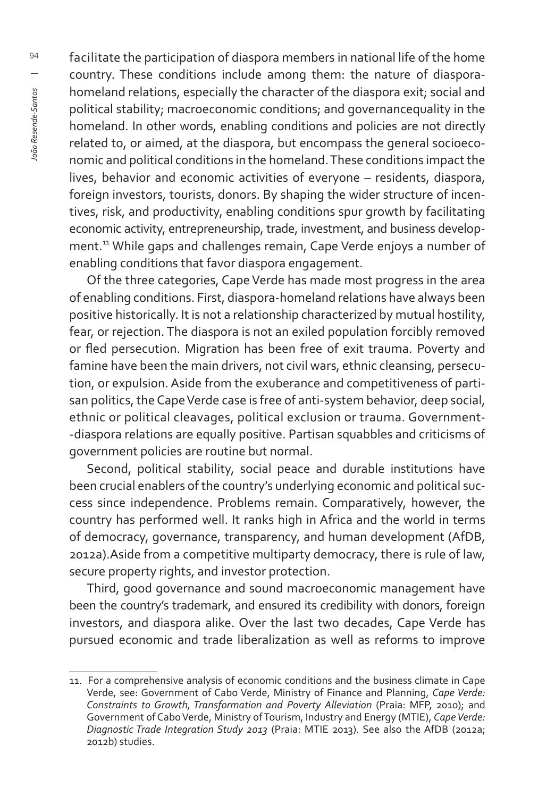facilitate the participation of diaspora members in national life of the home country. These conditions include among them: the nature of diasporahomeland relations, especially the character of the diaspora exit; social and political stability; macroeconomic conditions; and governancequality in the homeland. In other words, enabling conditions and policies are not directly related to, or aimed, at the diaspora, but encompass the general socioeconomic and political conditions in the homeland. These conditions impact the lives, behavior and economic activities of everyone – residents, diaspora, foreign investors, tourists, donors. By shaping the wider structure of incentives, risk, and productivity, enabling conditions spur growth by facilitating economic activity, entrepreneurship, trade, investment, and business development.<sup>11</sup> While gaps and challenges remain, Cape Verde enjoys a number of enabling conditions that favor diaspora engagement.

Of the three categories, Cape Verde has made most progress in the area of enabling conditions. First, diaspora-homeland relations have always been positive historically. It is not a relationship characterized by mutual hostility, fear, or rejection. The diaspora is not an exiled population forcibly removed or fled persecution. Migration has been free of exit trauma. Poverty and famine have been the main drivers, not civil wars, ethnic cleansing, persecution, or expulsion. Aside from the exuberance and competitiveness of partisan politics, the Cape Verde case is free of anti-system behavior, deep social, ethnic or political cleavages, political exclusion or trauma. Government- -diaspora relations are equally positive. Partisan squabbles and criticisms of government policies are routine but normal.

Second, political stability, social peace and durable institutions have been crucial enablers of the country's underlying economic and political success since independence. Problems remain. Comparatively, however, the country has performed well. It ranks high in Africa and the world in terms of democracy, governance, transparency, and human development (AfDB, 2012a).Aside from a competitive multiparty democracy, there is rule of law, secure property rights, and investor protection.

Third, good governance and sound macroeconomic management have been the country's trademark, and ensured its credibility with donors, foreign investors, and diaspora alike. Over the last two decades, Cape Verde has pursued economic and trade liberalization as well as reforms to improve

<sup>11.</sup> For a comprehensive analysis of economic conditions and the business climate in Cape Verde, see: Government of Cabo Verde, Ministry of Finance and Planning, *Cape Verde: Constraints to Growth, Transformation and Poverty Alleviation* (Praia: MFP, 2010); and Government of Cabo Verde, Ministry of Tourism, Industry and Energy (MTIE), *Cape Verde: Diagnostic Trade Integration Study 2013* (Praia: MTIE 2013). See also the AfDB (2012a; 2012b) studies.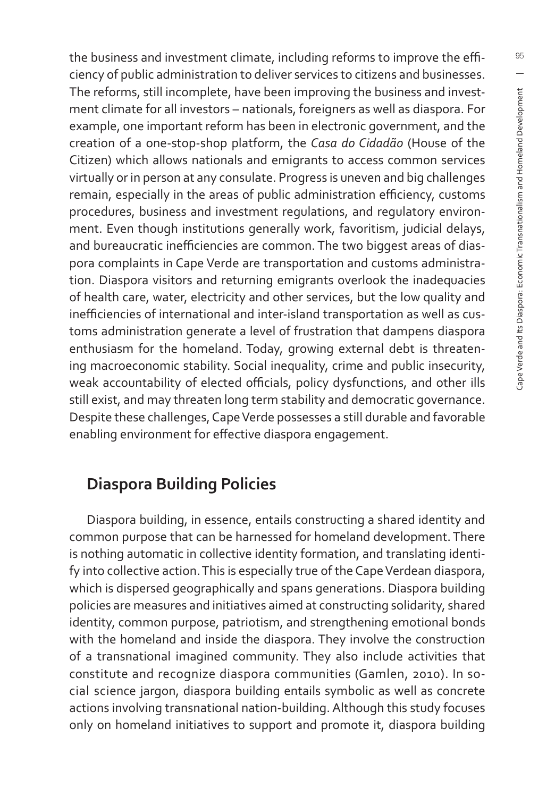the business and investment climate, including reforms to improve the efficiency of public administration to deliver services to citizens and businesses. The reforms, still incomplete, have been improving the business and investment climate for all investors – nationals, foreigners as well as diaspora. For example, one important reform has been in electronic government, and the creation of a one-stop-shop platform, the *Casa do Cidadão* (House of the Citizen) which allows nationals and emigrants to access common services virtually or in person at any consulate. Progress is uneven and big challenges remain, especially in the areas of public administration efficiency, customs procedures, business and investment regulations, and regulatory environment. Even though institutions generally work, favoritism, judicial delays, and bureaucratic inefficiencies are common. The two biggest areas of diaspora complaints in Cape Verde are transportation and customs administration. Diaspora visitors and returning emigrants overlook the inadequacies of health care, water, electricity and other services, but the low quality and inefficiencies of international and inter-island transportation as well as customs administration generate a level of frustration that dampens diaspora enthusiasm for the homeland. Today, growing external debt is threatening macroeconomic stability. Social inequality, crime and public insecurity, weak accountability of elected officials, policy dysfunctions, and other ills still exist, and may threaten long term stability and democratic governance. Despite these challenges, Cape Verde possesses a still durable and favorable enabling environment for effective diaspora engagement.

#### **Diaspora Building Policies**

Diaspora building, in essence, entails constructing a shared identity and common purpose that can be harnessed for homeland development. There is nothing automatic in collective identity formation, and translating identify into collective action. This is especially true of the Cape Verdean diaspora, which is dispersed geographically and spans generations. Diaspora building policies are measures and initiatives aimed at constructing solidarity, shared identity, common purpose, patriotism, and strengthening emotional bonds with the homeland and inside the diaspora. They involve the construction of a transnational imagined community. They also include activities that constitute and recognize diaspora communities (Gamlen, 2010). In social science jargon, diaspora building entails symbolic as well as concrete actions involving transnational nation-building. Although this study focuses only on homeland initiatives to support and promote it, diaspora building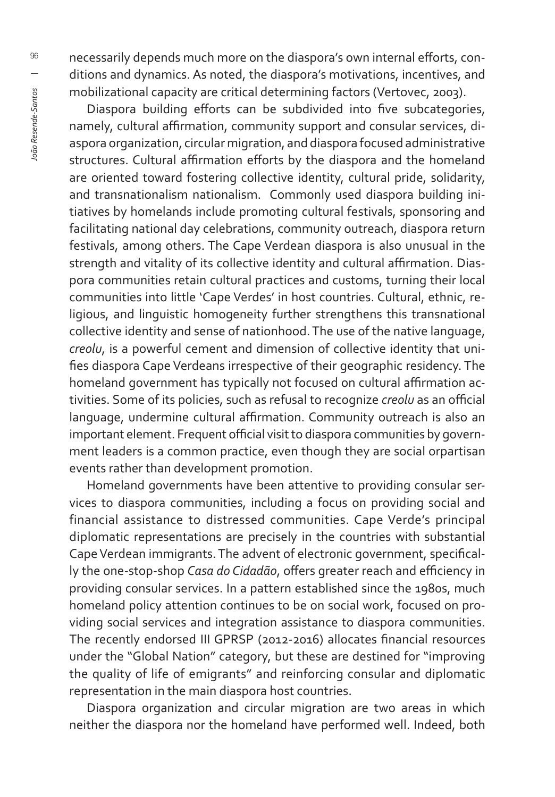necessarily depends much more on the diaspora's own internal efforts, conditions and dynamics. As noted, the diaspora's motivations, incentives, and mobilizational capacity are critical determining factors (Vertovec, 2003).

Diaspora building efforts can be subdivided into five subcategories, namely, cultural affirmation, community support and consular services, diaspora organization, circular migration, and diaspora focused administrative structures. Cultural affirmation efforts by the diaspora and the homeland are oriented toward fostering collective identity, cultural pride, solidarity, and transnationalism nationalism. Commonly used diaspora building initiatives by homelands include promoting cultural festivals, sponsoring and facilitating national day celebrations, community outreach, diaspora return festivals, among others. The Cape Verdean diaspora is also unusual in the strength and vitality of its collective identity and cultural affirmation. Diaspora communities retain cultural practices and customs, turning their local communities into little 'Cape Verdes' in host countries. Cultural, ethnic, religious, and linguistic homogeneity further strengthens this transnational collective identity and sense of nationhood. The use of the native language, *creolu*, is a powerful cement and dimension of collective identity that unifies diaspora Cape Verdeans irrespective of their geographic residency. The homeland government has typically not focused on cultural affirmation activities. Some of its policies, such as refusal to recognize *creolu* as an official language, undermine cultural affirmation. Community outreach is also an important element. Frequent official visit to diaspora communities by government leaders is a common practice, even though they are social orpartisan events rather than development promotion.

Homeland governments have been attentive to providing consular services to diaspora communities, including a focus on providing social and financial assistance to distressed communities. Cape Verde's principal diplomatic representations are precisely in the countries with substantial Cape Verdean immigrants. The advent of electronic government, specifically the one-stop-shop Casa do Cidadão, offers greater reach and efficiency in providing consular services. In a pattern established since the 1980s, much homeland policy attention continues to be on social work, focused on providing social services and integration assistance to diaspora communities. The recently endorsed III GPRSP (2012-2016) allocates financial resources under the "Global Nation" category, but these are destined for "improving the quality of life of emigrants" and reinforcing consular and diplomatic representation in the main diaspora host countries.

Diaspora organization and circular migration are two areas in which neither the diaspora nor the homeland have performed well. Indeed, both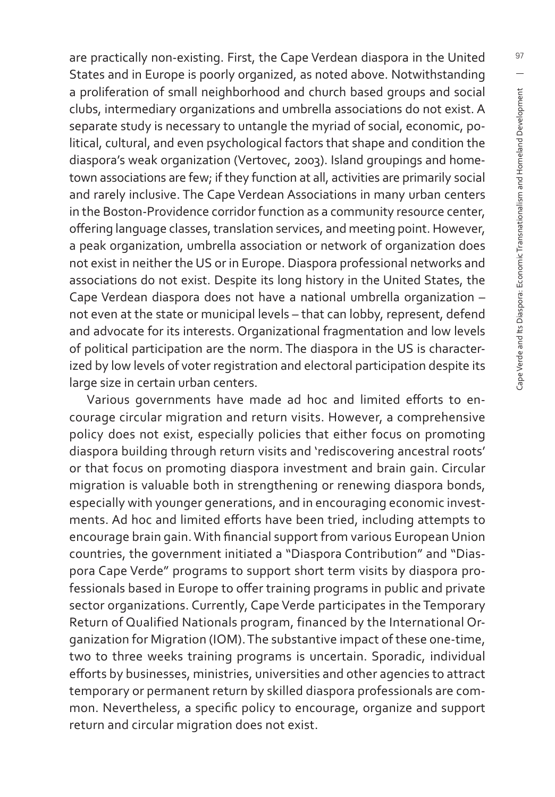are practically non-existing. First, the Cape Verdean diaspora in the United States and in Europe is poorly organized, as noted above. Notwithstanding a proliferation of small neighborhood and church based groups and social clubs, intermediary organizations and umbrella associations do not exist. A separate study is necessary to untangle the myriad of social, economic, political, cultural, and even psychological factors that shape and condition the diaspora's weak organization (Vertovec, 2003). Island groupings and hometown associations are few; if they function at all, activities are primarily social and rarely inclusive. The Cape Verdean Associations in many urban centers in the Boston-Providence corridor function as a community resource center, offering language classes, translation services, and meeting point. However, a peak organization, umbrella association or network of organization does not exist in neither the US or in Europe. Diaspora professional networks and associations do not exist. Despite its long history in the United States, the Cape Verdean diaspora does not have a national umbrella organization – not even at the state or municipal levels – that can lobby, represent, defend and advocate for its interests. Organizational fragmentation and low levels of political participation are the norm. The diaspora in the US is characterized by low levels of voter registration and electoral participation despite its large size in certain urban centers.

Various governments have made ad hoc and limited efforts to encourage circular migration and return visits. However, a comprehensive policy does not exist, especially policies that either focus on promoting diaspora building through return visits and 'rediscovering ancestral roots' or that focus on promoting diaspora investment and brain gain. Circular migration is valuable both in strengthening or renewing diaspora bonds, especially with younger generations, and in encouraging economic investments. Ad hoc and limited efforts have been tried, including attempts to encourage brain gain. With financial support from various European Union countries, the government initiated a "Diaspora Contribution" and "Diaspora Cape Verde" programs to support short term visits by diaspora professionals based in Europe to offer training programs in public and private sector organizations. Currently, Cape Verde participates in the Temporary Return of Qualified Nationals program, financed by the International Organization for Migration (IOM). The substantive impact of these one-time, two to three weeks training programs is uncertain. Sporadic, individual efforts by businesses, ministries, universities and other agencies to attract temporary or permanent return by skilled diaspora professionals are common. Nevertheless, a specific policy to encourage, organize and support return and circular migration does not exist.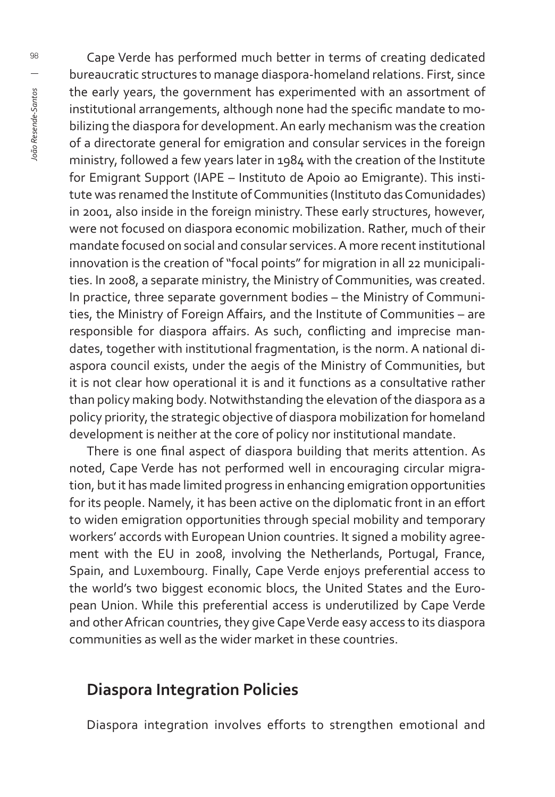Cape Verde has performed much better in terms of creating dedicated bureaucratic structures to manage diaspora-homeland relations. First, since the early years, the government has experimented with an assortment of institutional arrangements, although none had the specific mandate to mobilizing the diaspora for development. An early mechanism was the creation of a directorate general for emigration and consular services in the foreign ministry, followed a few years later in 1984 with the creation of the Institute for Emigrant Support (IAPE – Instituto de Apoio ao Emigrante). This institute was renamed the Institute of Communities (Instituto das Comunidades) in 2001, also inside in the foreign ministry. These early structures, however, were not focused on diaspora economic mobilization. Rather, much of their mandate focused on social and consular services. A more recent institutional innovation is the creation of "focal points" for migration in all 22 municipalities. In 2008, a separate ministry, the Ministry of Communities, was created. In practice, three separate government bodies – the Ministry of Communities, the Ministry of Foreign Affairs, and the Institute of Communities - are responsible for diaspora affairs. As such, conflicting and imprecise mandates, together with institutional fragmentation, is the norm. A national diaspora council exists, under the aegis of the Ministry of Communities, but it is not clear how operational it is and it functions as a consultative rather than policy making body. Notwithstanding the elevation of the diaspora as a policy priority, the strategic objective of diaspora mobilization for homeland development is neither at the core of policy nor institutional mandate.

There is one final aspect of diaspora building that merits attention. As noted, Cape Verde has not performed well in encouraging circular migration, but it has made limited progress in enhancing emigration opportunities for its people. Namely, it has been active on the diplomatic front in an effort to widen emigration opportunities through special mobility and temporary workers' accords with European Union countries. It signed a mobility agreement with the EU in 2008, involving the Netherlands, Portugal, France, Spain, and Luxembourg. Finally, Cape Verde enjoys preferential access to the world's two biggest economic blocs, the United States and the European Union. While this preferential access is underutilized by Cape Verde and other African countries, they give Cape Verde easy access to its diaspora communities as well as the wider market in these countries.

#### **Diaspora Integration Policies**

Diaspora integration involves efforts to strengthen emotional and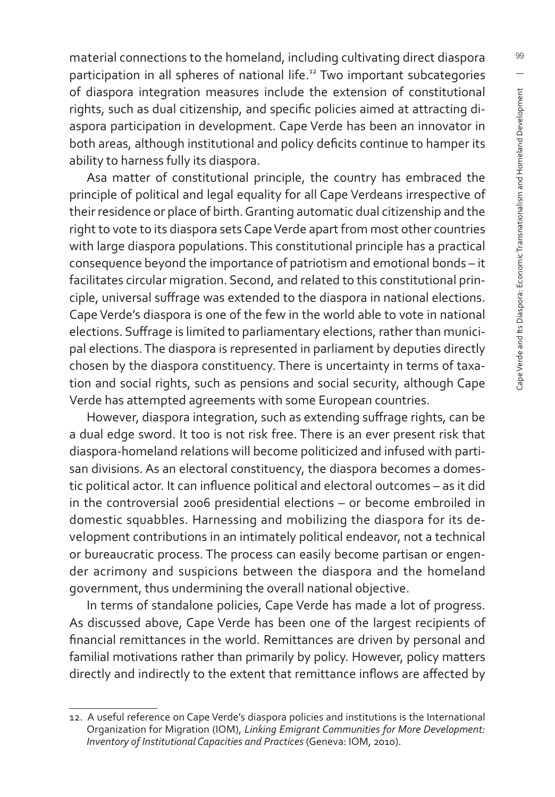material connections to the homeland, including cultivating direct diaspora participation in all spheres of national life.<sup>12</sup> Two important subcategories of diaspora integration measures include the extension of constitutional rights, such as dual citizenship, and specific policies aimed at attracting diaspora participation in development. Cape Verde has been an innovator in both areas, although institutional and policy deficits continue to hamper its ability to harness fully its diaspora.

Asa matter of constitutional principle, the country has embraced the principle of political and legal equality for all Cape Verdeans irrespective of their residence or place of birth. Granting automatic dual citizenship and the right to vote to its diaspora sets Cape Verde apart from most other countries with large diaspora populations. This constitutional principle has a practical consequence beyond the importance of patriotism and emotional bonds – it facilitates circular migration. Second, and related to this constitutional principle, universal suffrage was extended to the diaspora in national elections. Cape Verde's diaspora is one of the few in the world able to vote in national elections. Suffrage is limited to parliamentary elections, rather than municipal elections. The diaspora is represented in parliament by deputies directly chosen by the diaspora constituency. There is uncertainty in terms of taxation and social rights, such as pensions and social security, although Cape Verde has attempted agreements with some European countries.

However, diaspora integration, such as extending suffrage rights, can be a dual edge sword. It too is not risk free. There is an ever present risk that diaspora-homeland relations will become politicized and infused with partisan divisions. As an electoral constituency, the diaspora becomes a domestic political actor. It can influence political and electoral outcomes - as it did in the controversial 2006 presidential elections – or become embroiled in domestic squabbles. Harnessing and mobilizing the diaspora for its development contributions in an intimately political endeavor, not a technical or bureaucratic process. The process can easily become partisan or engender acrimony and suspicions between the diaspora and the homeland government, thus undermining the overall national objective.

In terms of standalone policies, Cape Verde has made a lot of progress. As discussed above, Cape Verde has been one of the largest recipients of financial remittances in the world. Remittances are driven by personal and familial motivations rather than primarily by policy. However, policy matters directly and indirectly to the extent that remittance inflows are affected by

<sup>12.</sup> A useful reference on Cape Verde's diaspora policies and institutions is the International Organization for Migration (IOM), *Linking Emigrant Communities for More Development: Inventory of Institutional Capacities and Practices* (Geneva: IOM, 2010).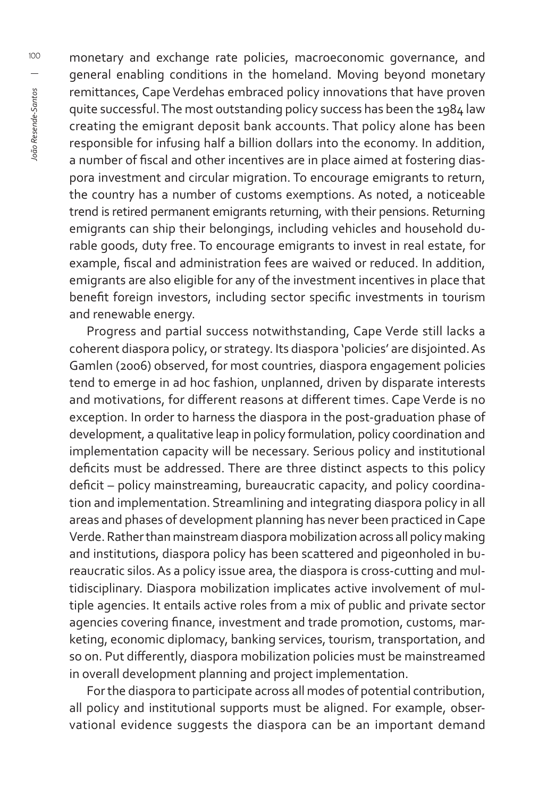100Ioão Resende-Santos *João Resende-Santos*

monetary and exchange rate policies, macroeconomic governance, and general enabling conditions in the homeland. Moving beyond monetary remittances, Cape Verdehas embraced policy innovations that have proven quite successful. The most outstanding policy success has been the 1984 law creating the emigrant deposit bank accounts. That policy alone has been responsible for infusing half a billion dollars into the economy. In addition, a number of fiscal and other incentives are in place aimed at fostering diaspora investment and circular migration. To encourage emigrants to return, the country has a number of customs exemptions. As noted, a noticeable trend is retired permanent emigrants returning, with their pensions. Returning emigrants can ship their belongings, including vehicles and household durable goods, duty free. To encourage emigrants to invest in real estate, for example, fiscal and administration fees are waived or reduced. In addition, emigrants are also eligible for any of the investment incentives in place that benefit foreign investors, including sector specific investments in tourism and renewable energy.

Progress and partial success notwithstanding, Cape Verde still lacks a coherent diaspora policy, or strategy. Its diaspora 'policies' are disjointed. As Gamlen (2006) observed, for most countries, diaspora engagement policies tend to emerge in ad hoc fashion, unplanned, driven by disparate interests and motivations, for different reasons at different times. Cape Verde is no exception. In order to harness the diaspora in the post-graduation phase of development, a qualitative leap in policy formulation, policy coordination and implementation capacity will be necessary. Serious policy and institutional deficits must be addressed. There are three distinct aspects to this policy deficit – policy mainstreaming, bureaucratic capacity, and policy coordination and implementation. Streamlining and integrating diaspora policy in all areas and phases of development planning has never been practiced in Cape Verde. Rather than mainstream diaspora mobilization across all policy making and institutions, diaspora policy has been scattered and pigeonholed in bureaucratic silos. As a policy issue area, the diaspora is cross-cutting and multidisciplinary. Diaspora mobilization implicates active involvement of multiple agencies. It entails active roles from a mix of public and private sector agencies covering finance, investment and trade promotion, customs, marketing, economic diplomacy, banking services, tourism, transportation, and so on. Put differently, diaspora mobilization policies must be mainstreamed in overall development planning and project implementation.

For the diaspora to participate across all modes of potential contribution, all policy and institutional supports must be aligned. For example, observational evidence suggests the diaspora can be an important demand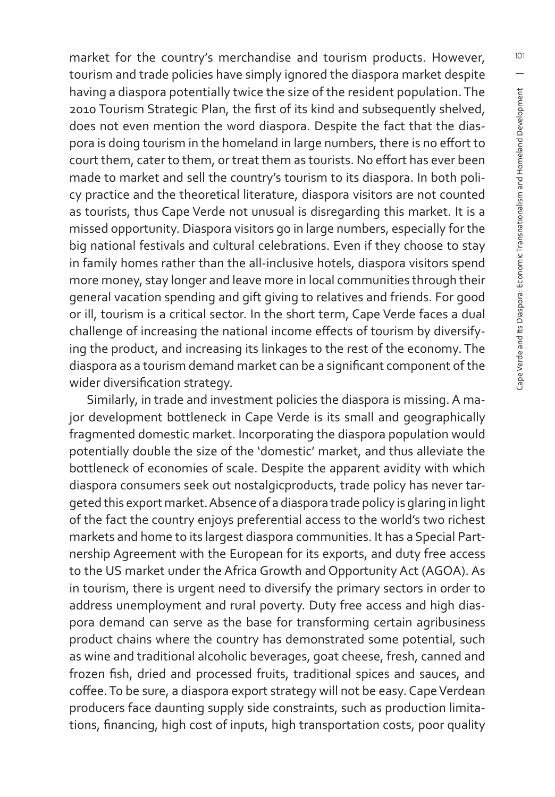market for the country's merchandise and tourism products. However, tourism and trade policies have simply ignored the diaspora market despite having a diaspora potentially twice the size of the resident population. The 2010 Tourism Strategic Plan, the first of its kind and subsequently shelved, does not even mention the word diaspora. Despite the fact that the diaspora is doing tourism in the homeland in large numbers, there is no effort to court them, cater to them, or treat them as tourists. No effort has ever been made to market and sell the country's tourism to its diaspora. In both policy practice and the theoretical literature, diaspora visitors are not counted as tourists, thus Cape Verde not unusual is disregarding this market. It is a missed opportunity. Diaspora visitors go in large numbers, especially for the big national festivals and cultural celebrations. Even if they choose to stay in family homes rather than the all-inclusive hotels, diaspora visitors spend more money, stay longer and leave more in local communities through their general vacation spending and gift giving to relatives and friends. For good or ill, tourism is a critical sector. In the short term, Cape Verde faces a dual challenge of increasing the national income effects of tourism by diversifying the product, and increasing its linkages to the rest of the economy. The diaspora as a tourism demand market can be a significant component of the wider diversification strategy.

Similarly, in trade and investment policies the diaspora is missing. A major development bottleneck in Cape Verde is its small and geographically fragmented domestic market. Incorporating the diaspora population would potentially double the size of the 'domestic' market, and thus alleviate the bottleneck of economies of scale. Despite the apparent avidity with which diaspora consumers seek out nostalgicproducts, trade policy has never targeted this export market. Absence of a diaspora trade policy is glaring in light of the fact the country enjoys preferential access to the world's two richest markets and home to its largest diaspora communities. It has a Special Partnership Agreement with the European for its exports, and duty free access to the US market under the Africa Growth and Opportunity Act (AGOA). As in tourism, there is urgent need to diversify the primary sectors in order to address unemployment and rural poverty. Duty free access and high diaspora demand can serve as the base for transforming certain agribusiness product chains where the country has demonstrated some potential, such as wine and traditional alcoholic beverages, goat cheese, fresh, canned and frozen fish, dried and processed fruits, traditional spices and sauces, and coffee. To be sure, a diaspora export strategy will not be easy. Cape Verdean producers face daunting supply side constraints, such as production limitations, financing, high cost of inputs, high transportation costs, poor quality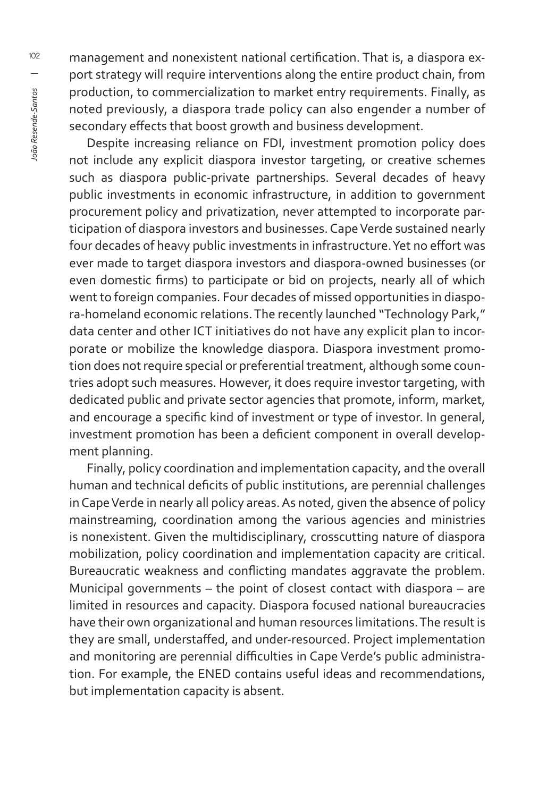management and nonexistent national certification. That is, a diaspora export strategy will require interventions along the entire product chain, from production, to commercialization to market entry requirements. Finally, as noted previously, a diaspora trade policy can also engender a number of secondary effects that boost growth and business development.

Despite increasing reliance on FDI, investment promotion policy does not include any explicit diaspora investor targeting, or creative schemes such as diaspora public-private partnerships. Several decades of heavy public investments in economic infrastructure, in addition to government procurement policy and privatization, never attempted to incorporate participation of diaspora investors and businesses. Cape Verde sustained nearly four decades of heavy public investments in infrastructure. Yet no effort was ever made to target diaspora investors and diaspora-owned businesses (or even domestic firms) to participate or bid on projects, nearly all of which went to foreign companies. Four decades of missed opportunities in diaspora-homeland economic relations. The recently launched "Technology Park," data center and other ICT initiatives do not have any explicit plan to incorporate or mobilize the knowledge diaspora. Diaspora investment promotion does not require special or preferential treatment, although some countries adopt such measures. However, it does require investor targeting, with dedicated public and private sector agencies that promote, inform, market, and encourage a specific kind of investment or type of investor. In general, investment promotion has been a deficient component in overall development planning.

Finally, policy coordination and implementation capacity, and the overall human and technical deficits of public institutions, are perennial challenges in Cape Verde in nearly all policy areas. As noted, given the absence of policy mainstreaming, coordination among the various agencies and ministries is nonexistent. Given the multidisciplinary, crosscutting nature of diaspora mobilization, policy coordination and implementation capacity are critical. Bureaucratic weakness and conflicting mandates aggravate the problem. Municipal governments – the point of closest contact with diaspora – are limited in resources and capacity. Diaspora focused national bureaucracies have their own organizational and human resources limitations. The result is they are small, understaffed, and under-resourced. Project implementation and monitoring are perennial difficulties in Cape Verde's public administration. For example, the ENED contains useful ideas and recommendations, but implementation capacity is absent.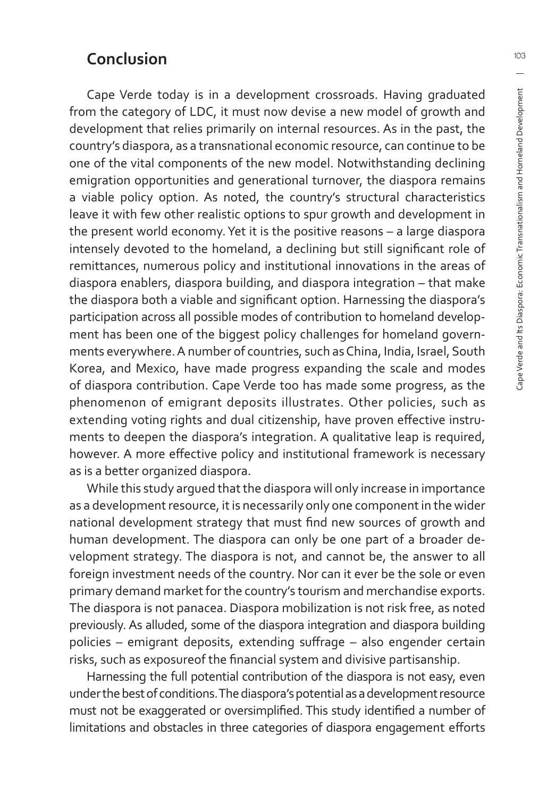#### **Conclusion**

Cape Verde today is in a development crossroads. Having graduated from the category of LDC, it must now devise a new model of growth and development that relies primarily on internal resources. As in the past, the country's diaspora, as a transnational economic resource, can continue to be one of the vital components of the new model. Notwithstanding declining emigration opportunities and generational turnover, the diaspora remains a viable policy option. As noted, the country's structural characteristics leave it with few other realistic options to spur growth and development in the present world economy. Yet it is the positive reasons – a large diaspora intensely devoted to the homeland, a declining but still significant role of remittances, numerous policy and institutional innovations in the areas of diaspora enablers, diaspora building, and diaspora integration – that make the diaspora both a viable and significant option. Harnessing the diaspora's participation across all possible modes of contribution to homeland development has been one of the biggest policy challenges for homeland governments everywhere. A number of countries, such as China, India, Israel, South Korea, and Mexico, have made progress expanding the scale and modes of diaspora contribution. Cape Verde too has made some progress, as the phenomenon of emigrant deposits illustrates. Other policies, such as extending voting rights and dual citizenship, have proven effective instruments to deepen the diaspora's integration. A qualitative leap is required, however. A more effective policy and institutional framework is necessary as is a better organized diaspora.

While this study argued that the diaspora will only increase in importance as a development resource, it is necessarily only one component in the wider national development strategy that must find new sources of growth and human development. The diaspora can only be one part of a broader development strategy. The diaspora is not, and cannot be, the answer to all foreign investment needs of the country. Nor can it ever be the sole or even primary demand market for the country's tourism and merchandise exports. The diaspora is not panacea. Diaspora mobilization is not risk free, as noted previously. As alluded, some of the diaspora integration and diaspora building policies – emigrant deposits, extending suffrage – also engender certain risks, such as exposureof the financial system and divisive partisanship.

Harnessing the full potential contribution of the diaspora is not easy, even under the best of conditions. The diaspora's potential as a development resource must not be exaggerated or oversimplified. This study identified a number of limitations and obstacles in three categories of diaspora engagement efforts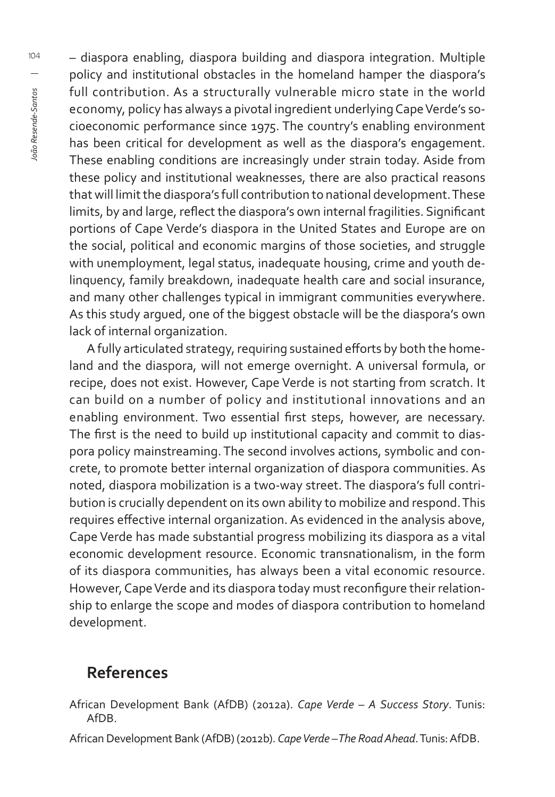– diaspora enabling, diaspora building and diaspora integration. Multiple policy and institutional obstacles in the homeland hamper the diaspora's full contribution. As a structurally vulnerable micro state in the world economy, policy has always a pivotal ingredient underlying Cape Verde's socioeconomic performance since 1975. The country's enabling environment has been critical for development as well as the diaspora's engagement. These enabling conditions are increasingly under strain today. Aside from these policy and institutional weaknesses, there are also practical reasons that will limit the diaspora's full contribution to national development. These limits, by and large, reflect the diaspora's own internal fragilities. Significant portions of Cape Verde's diaspora in the United States and Europe are on the social, political and economic margins of those societies, and struggle with unemployment, legal status, inadequate housing, crime and youth delinquency, family breakdown, inadequate health care and social insurance, and many other challenges typical in immigrant communities everywhere. As this study argued, one of the biggest obstacle will be the diaspora's own lack of internal organization.

A fully articulated strategy, requiring sustained efforts by both the homeland and the diaspora, will not emerge overnight. A universal formula, or recipe, does not exist. However, Cape Verde is not starting from scratch. It can build on a number of policy and institutional innovations and an enabling environment. Two essential first steps, however, are necessary. The first is the need to build up institutional capacity and commit to diaspora policy mainstreaming. The second involves actions, symbolic and concrete, to promote better internal organization of diaspora communities. As noted, diaspora mobilization is a two-way street. The diaspora's full contribution is crucially dependent on its own ability to mobilize and respond. This requires effective internal organization. As evidenced in the analysis above, Cape Verde has made substantial progress mobilizing its diaspora as a vital economic development resource. Economic transnationalism, in the form of its diaspora communities, has always been a vital economic resource. However, Cape Verde and its diaspora today must reconfigure their relationship to enlarge the scope and modes of diaspora contribution to homeland development.

#### **References**

- African Development Bank (AfDB) (2012a). *Cape Verde A Success Story*. Tunis: AfDB.
- African Development Bank (AfDB) (2012b). *Cape Verde The Road Ahead*. Tunis: AfDB.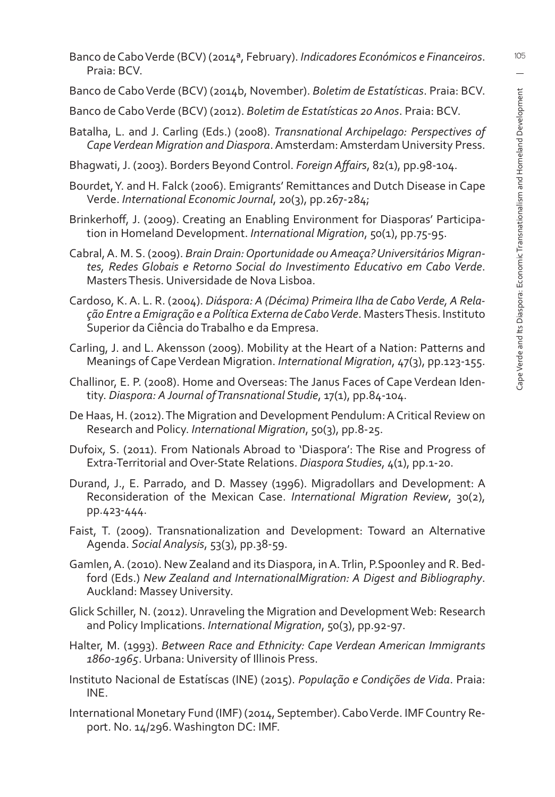- Banco de Cabo Verde (BCV) (2014ª, February). *Indicadores Económicos e Financeiros*. Praia: BCV.
- Banco de Cabo Verde (BCV) (2014b, November). *Boletim de Estatísticas*. Praia: BCV.
- Banco de Cabo Verde (BCV) (2012). *Boletim de Estatísticas 20 Anos*. Praia: BCV.
- Batalha, L. and J. Carling (Eds.) (2008). *Transnational Archipelago: Perspectives of Cape Verdean Migration and Diaspora*. Amsterdam: Amsterdam University Press.
- Bhagwati, J. (2003). Borders Beyond Control. *Foreign Aff airs*, 82(1), pp.98-104.
- Bourdet, Y. and H. Falck (2006). Emigrants' Remittances and Dutch Disease in Cape Verde. *International Economic Journal*, 20(3), pp.267-284;
- Brinkerhoff, J. (2009). Creating an Enabling Environment for Diasporas' Participation in Homeland Development. *International Migration*, 50(1), pp.75-95.
- Cabral, A. M. S. (2009). *Brain Drain: Oportunidade ou Ameaça? Universitários Migrantes, Redes Globais e Retorno Social do Investimento Educativo em Cabo Verde*. Masters Thesis. Universidade de Nova Lisboa.
- Cardoso, K. A. L. R. (2004). *Diáspora: A (Décima) Primeira Ilha de Cabo Verde, A Relação Entre a Emigração e a Política Externa de Cabo Verde*. Masters Thesis. Instituto Superior da Ciência do Trabalho e da Empresa.
- Carling, J. and L. Akensson (2009). Mobility at the Heart of a Nation: Patterns and Meanings of Cape Verdean Migration. *International Migration*, 47(3), pp.123-155.
- Challinor, E. P. (2008). Home and Overseas: The Janus Faces of Cape Verdean Identity. *Diaspora: A Journal of Transnational Studie*, 17(1), pp.84-104.
- De Haas, H. (2012). The Migration and Development Pendulum: A Critical Review on Research and Policy. *International Migration*, 50(3), pp.8-25.
- Dufoix, S. (2011). From Nationals Abroad to 'Diaspora': The Rise and Progress of Extra-Territorial and Over-State Relations. *Diaspora Studies*, 4(1), pp.1-20.
- Durand, J., E. Parrado, and D. Massey (1996). Migradollars and Development: A Reconsideration of the Mexican Case. *International Migration Review*, 30(2), pp.423-444.
- Faist, T. (2009). Transnationalization and Development: Toward an Alternative Agenda. *Social Analysis*, 53(3), pp.38-59.
- Gamlen, A. (2010). New Zealand and its Diaspora, in A. Trlin, P.Spoonley and R. Bedford (Eds.) *New Zealand and InternationalMigration: A Digest and Bibliography*. Auckland: Massey University.
- Glick Schiller, N. (2012). Unraveling the Migration and Development Web: Research and Policy Implications. *International Migration*, 50(3), pp.92-97.
- Halter, M. (1993). *Between Race and Ethnicity: Cape Verdean American Immigrants 1860-1965*. Urbana: University of Illinois Press.
- Instituto Nacional de Estatíscas (INE) (2015). *População e Condições de Vida*. Praia: INE.
- International Monetary Fund (IMF) (2014, September). Cabo Verde. IMF Country Report. No. 14/296. Washington DC: IMF.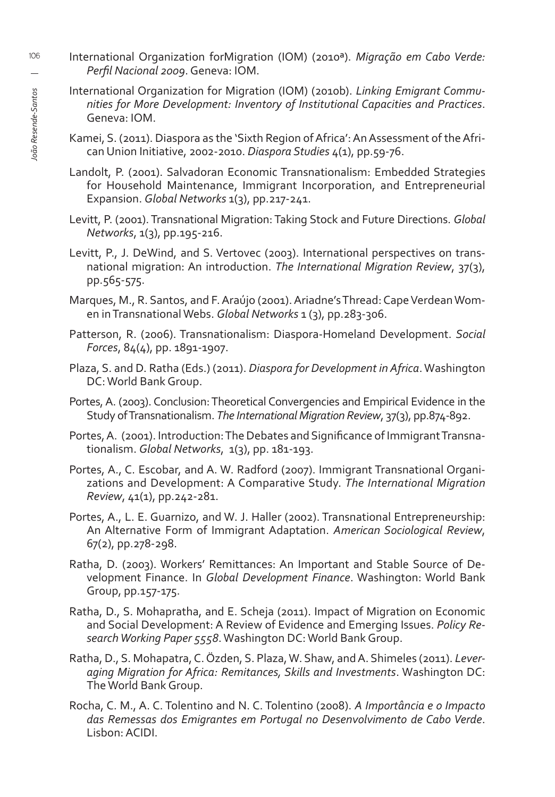- International Organization forMigration (IOM) (2010ª). *Migração em Cabo Verde: Perfi l Nacional 2009*. Geneva: IOM.
	- International Organization for Migration (IOM) (2010b). *Linking Emigrant Communities for More Development: Inventory of Institutional Capacities and Practices*. Geneva: IOM.
	- Kamei, S. (2011). Diaspora as the 'Sixth Region of Africa': An Assessment of the African Union Initiative, 2002-2010. *Diaspora Studies* 4(1), pp.59-76.
	- Landolt, P. (2001). Salvadoran Economic Transnationalism: Embedded Strategies for Household Maintenance, Immigrant Incorporation, and Entrepreneurial Expansion. *Global Networks* 1(3), pp.217-241.
	- Levitt, P. (2001). Transnational Migration: Taking Stock and Future Directions. *Global Networks*, 1(3), pp.195-216.
	- Levitt, P., J. DeWind, and S. Vertovec (2003). International perspectives on transnational migration: An introduction. *The International Migration Review*, 37(3), pp.565-575.
	- Marques, M., R. Santos, and F. Araújo (2001). Ariadne's Thread: Cape Verdean Women in Transnational Webs. *Global Networks* 1 (3), pp.283-306.
	- Patterson, R. (2006). Transnationalism: Diaspora-Homeland Development. *Social Forces*, 84(4), pp. 1891-1907.
	- Plaza, S. and D. Ratha (Eds.) (2011). *Diaspora for Development in Africa*. Washington DC: World Bank Group.
	- Portes, A. (2003). Conclusion: Theoretical Convergencies and Empirical Evidence in the Study of Transnationalism. *The International Migration Review*, 37(3), pp.874-892.
	- Portes, A. (2001). Introduction: The Debates and Significance of Immigrant Transnationalism. *Global Networks*, 1(3), pp. 181-193.
	- Portes, A., C. Escobar, and A. W. Radford (2007). Immigrant Transnational Organizations and Development: A Comparative Study. *The International Migration Review*, 41(1), pp.242-281.
	- Portes, A., L. E. Guarnizo, and W. J. Haller (2002). Transnational Entrepreneurship: An Alternative Form of Immigrant Adaptation. *American Sociological Review*, 67(2), pp.278-298.
	- Ratha, D. (2003). Workers' Remittances: An Important and Stable Source of Development Finance. In *Global Development Finance*. Washington: World Bank Group, pp.157-175.
	- Ratha, D., S. Mohapratha, and E. Scheja (2011). Impact of Migration on Economic and Social Development: A Review of Evidence and Emerging Issues. *Policy Research Working Paper 5558*. Washington DC: World Bank Group.
	- Ratha, D., S. Mohapatra, C. Özden, S. Plaza, W. Shaw, and A. Shimeles (2011). *Leveraging Migration for Africa: Remitances, Skills and Investments*. Washington DC: The World Bank Group.
	- Rocha, C. M., A. C. Tolentino and N. C. Tolentino (2008). *A Importância e o Impacto das Remessas dos Emigrantes em Portugal no Desenvolvimento de Cabo Verde*. Lisbon: ACIDI.